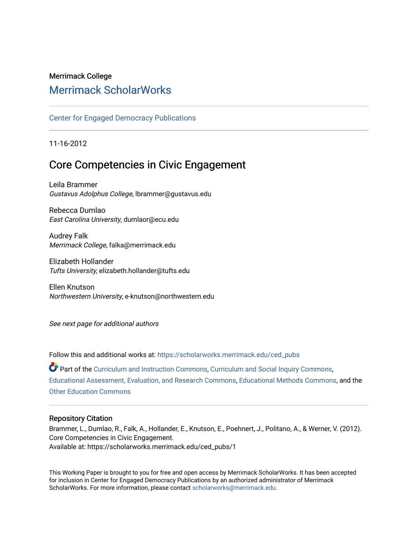### Merrimack College [Merrimack ScholarWorks](https://scholarworks.merrimack.edu/)

#### [Center for Engaged Democracy Publications](https://scholarworks.merrimack.edu/ced_pubs)

11-16-2012

### Core Competencies in Civic Engagement

Leila Brammer Gustavus Adolphus College, lbrammer@gustavus.edu

Rebecca Dumlao East Carolina University, dumlaor@ecu.edu

Audrey Falk Merrimack College, falka@merrimack.edu

Elizabeth Hollander Tufts University, elizabeth.hollander@tufts.edu

Ellen Knutson Northwestern University, e-knutson@northwestern.edu

See next page for additional authors

Follow this and additional works at: [https://scholarworks.merrimack.edu/ced\\_pubs](https://scholarworks.merrimack.edu/ced_pubs?utm_source=scholarworks.merrimack.edu%2Fced_pubs%2F1&utm_medium=PDF&utm_campaign=PDFCoverPages) Part of the [Curriculum and Instruction Commons,](http://network.bepress.com/hgg/discipline/786?utm_source=scholarworks.merrimack.edu%2Fced_pubs%2F1&utm_medium=PDF&utm_campaign=PDFCoverPages) [Curriculum and Social Inquiry Commons,](http://network.bepress.com/hgg/discipline/1038?utm_source=scholarworks.merrimack.edu%2Fced_pubs%2F1&utm_medium=PDF&utm_campaign=PDFCoverPages) [Educational Assessment, Evaluation, and Research Commons,](http://network.bepress.com/hgg/discipline/796?utm_source=scholarworks.merrimack.edu%2Fced_pubs%2F1&utm_medium=PDF&utm_campaign=PDFCoverPages) [Educational Methods Commons,](http://network.bepress.com/hgg/discipline/1227?utm_source=scholarworks.merrimack.edu%2Fced_pubs%2F1&utm_medium=PDF&utm_campaign=PDFCoverPages) and the [Other Education Commons](http://network.bepress.com/hgg/discipline/811?utm_source=scholarworks.merrimack.edu%2Fced_pubs%2F1&utm_medium=PDF&utm_campaign=PDFCoverPages) 

#### Repository Citation

Brammer, L., Dumlao, R., Falk, A., Hollander, E., Knutson, E., Poehnert, J., Politano, A., & Werner, V. (2012). Core Competencies in Civic Engagement. Available at: https://scholarworks.merrimack.edu/ced\_pubs/1

This Working Paper is brought to you for free and open access by Merrimack ScholarWorks. It has been accepted for inclusion in Center for Engaged Democracy Publications by an authorized administrator of Merrimack ScholarWorks. For more information, please contact [scholarworks@merrimack.edu.](mailto:scholarworks@merrimack.edu)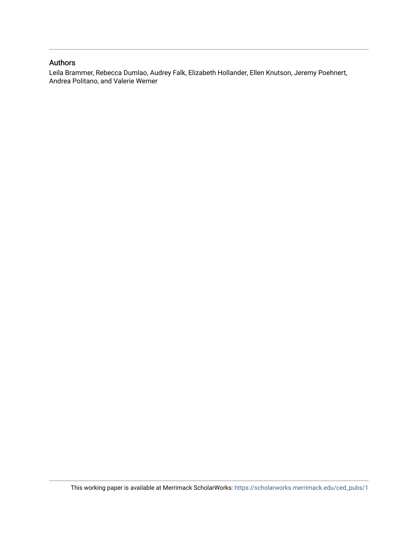#### Authors

Leila Brammer, Rebecca Dumlao, Audrey Falk, Elizabeth Hollander, Ellen Knutson, Jeremy Poehnert, Andrea Politano, and Valerie Werner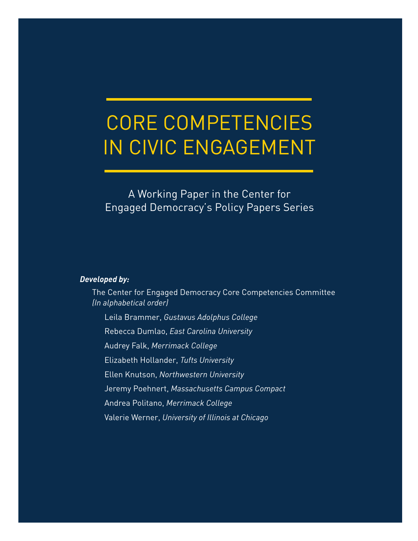# CORE COMPETENCIES IN CIVIC ENGAGEMENT

A Working Paper in the Center for Engaged Democracy's Policy Papers Series

#### *Developed by:*

The Center for Engaged Democracy Core Competencies Committee *(In alphabetical order)*

Leila Brammer, *Gustavus Adolphus College*

Rebecca Dumlao, *East Carolina University*

Audrey Falk, *Merrimack College*

Elizabeth Hollander, *Tufts University*

Ellen Knutson, *Northwestern University*

Jeremy Poehnert, *Massachusetts Campus Compact*

Andrea Politano, *Merrimack College*

Valerie Werner, *University of Illinois at Chicago*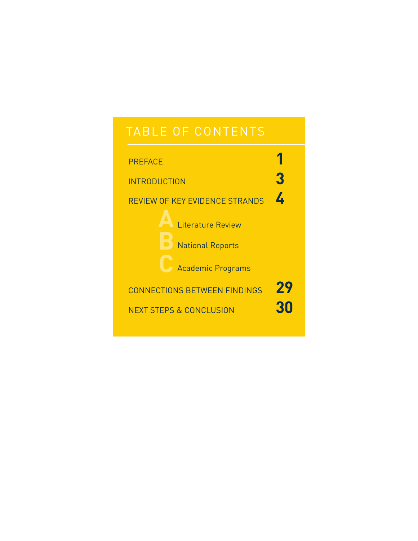## TABLE OF CONTENTS

| <b>PREFACE</b>                                      |           |
|-----------------------------------------------------|-----------|
| <b>INTRODUCTION</b>                                 | 3         |
| <b>REVIEW OF KEY EVIDENCE STRANDS</b>               | <u>/.</u> |
| <b>Literature Review</b><br><b>National Reports</b> |           |
| <b>Academic Programs</b>                            |           |
| <b>CONNECTIONS BETWEEN FINDINGS</b>                 | 29        |
| <b>NEXT STEPS &amp; CONCLUSION</b>                  | 30        |
|                                                     |           |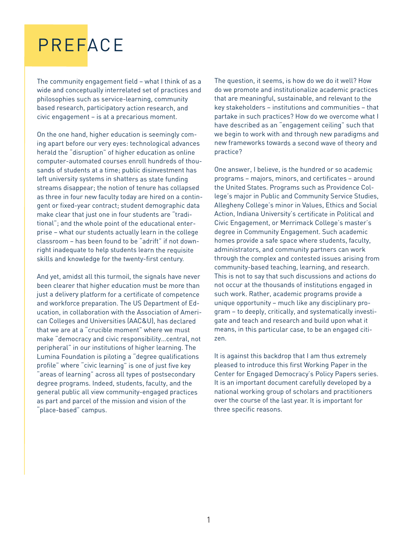# PREFACE

The community engagemen<sup>t</sup> field – what I think of as <sup>a</sup> wide and conceptually interrelated set of practices and philosophies such as service-learning, community based research, participatory action research, and civic engagemen<sup>t</sup> – is at <sup>a</sup> precarious moment.

On the one hand, higher education is seemingly coming apar<sup>t</sup> before our very eyes: technological advances herald the "disruption" of higher education as online computer-automated courses enroll hundreds of thousands of students at <sup>a</sup> time; public disinvestment has left university systems in shatters as state funding streams disappear; the notion of tenure has collapsed as three in four new faculty today are hired on <sup>a</sup> contingen<sup>t</sup> or fixed-year contract; student demographic data make clear that just one in four students are "traditional"; and the whole point of the educational enterprise – what our students actually learn in the college classroom – has been found to be "adrift" if not downright inadequate to help students learn the requisite skills and knowledge for the twenty-first century.

And yet, amidst all this turmoil, the signals have never been clearer that higher education must be more than just <sup>a</sup> delivery platform for <sup>a</sup> certificate of competence and workforce preparation. The US Department of Education, in collaboration with the Association of American Colleges and Universities (AAC&U), has declared that we are at <sup>a</sup> "crucible moment" where we must make "democracy and civic responsibility…central, not peripheral" in our institutions of higher learning. The Lumina Foundation is piloting <sup>a</sup> "degree qualifications profile" where "civic learning" is one of just five key "areas of learning" across all types of postsecondary degree programs. Indeed, students, faculty, and the general public all view community-engaged practices as par<sup>t</sup> and parcel of the mission and vision of the "place-based" campus.

The question, it seems, is how do we do it well? How do we promote and institutionalize academic practices that are meaningful, sustainable, and relevant to the key stakeholders – institutions and communities – that partake in such practices? How do we overcome what I have described as an "engagement ceiling" such that we begin to work with and through new paradigms and new frameworks towards <sup>a</sup> second wave of theory and practice?

One answer, I believe, is the hundred or so academic programs – majors, minors, and certificates – around the United States. Programs such as Providence College's major in Public and Community Service Studies, Allegheny College's minor in Values, Ethics and Social Action, Indiana University's certificate in Political and Civic Engagement, or Merrimack College's master's degree in Community Engagement. Such academic homes provide <sup>a</sup> safe space where students, faculty, administrators, and community partners can work through the complex and contested issues arising from community-based teaching, learning, and research. This is not to say that such discussions and actions do not occur at the thousands of institutions engaged in such work. Rather, academic programs provide <sup>a</sup> unique opportunity – much like any disciplinary program – to deeply, critically, and systematically investigate and teach and research and build upon what it means, in this particular case, to be an engaged citizen.

It is against this backdrop that I am thus extremely pleased to introduce this first Working Paper in the Center for Engaged Democracy's Policy Papers series. It is an important document carefully developed by <sup>a</sup> national working group of scholars and practitioners over the course of the last year. It is important for three specific reasons.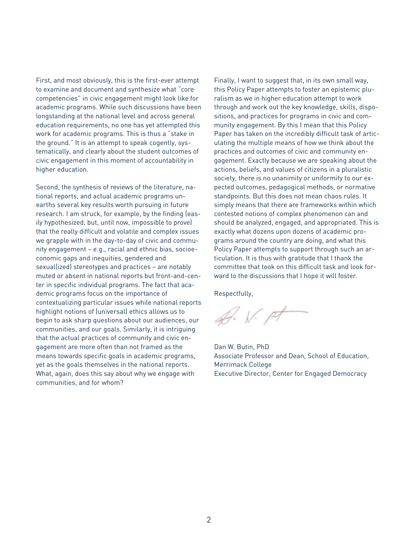First, and most obviously, this is the first-ever attempt to examine and document and synthesize what "core competencies" in civic engagement might look like for academic programs. While such discussions have been longstanding at the national level and across general education requirements, no one has yet attempted this work for academic programs. This is thus a "stake in the ground." It is an attempt to speak cogently, systematically, and clearly about the student outcomes of civic engagement in this moment of accountability in higher education.

Second, the synthesis of reviews of the literature, national reports, and actual academic programs unearths several key results worth pursuing in future research. I am struck, for example, by the finding (easily hypothesized, but, until now, impossible to prove) that the really difficult and volatile and complex issues we grapple with in the day-to-day of civic and community engagement – e.g., racial and ethnic bias, socioeconomic gaps and inequities, gendered and sexual(ized) stereotypes and practices – are notably muted or absent in national reports but front-and-center in specific individual programs. The fact that academic programs focus on the importance of contextualizing particular issues while national reports highlight notions of (universal) ethics allows us to begin to ask sharp questions about our audiences, our communities, and our goals. Similarly, it is intriguing that the actual practices of community and civic engagement are more often than not framed as the means towards specific goals in academic programs, yet as the goals themselves in the national reports. What, again, does this say about why we engage with communities, and for whom?

Finally, I want to suggest that, in its own small way, this Policy Paper attempts to foster an epistemic pluralism as we in higher education attempt to work through and work out the key knowledge, skills, dispositions, and practices for programs in civic and community engagement. By this I mean that this Policy Paper has taken on the incredibly difficult task of articulating the multiple means of how we think about the practices and outcomes of civic and community engagement. Exactly because we are speaking about the actions, beliefs, and values of citizens in a pluralistic society, there is no unanimity or uniformity to our expected outcomes, pedagogical methods, or normative standpoints. But this does not mean chaos rules. It simply means that there are frameworks within which contested notions of complex phenomenon can and should be analyzed, engaged, and appropriated. This is exactly what dozens upon dozens of academic programs around the country are doing, and what this Policy Paper attempts to support through such an articulation. It is thus with gratitude that I thank the committee that took on this difficult task and look forward to the discussions that I hope it will foster.

Respectfully,

D. W. pt

Dan W. Butin, PhD Associate Professor and Dean, School of Education, Merrimack College Executive Director, Center for Engaged Democracy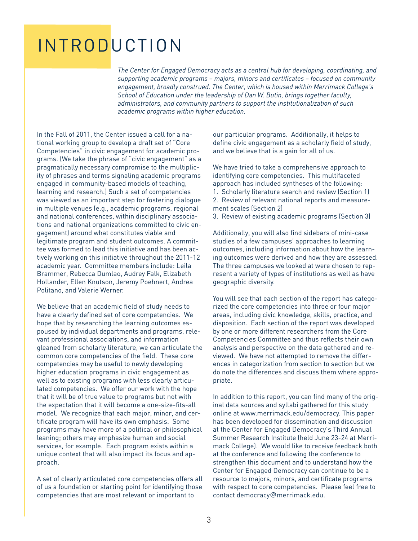# **INTRODUCTION**

*The Center for Engaged Democracy acts as a central hub for developing, coordinating, and supporting academic programs – majors, minors and certificates – focused on community engagement, broadly construed. The Center, which is housed within Merrimack College's School of Education under the leadership of Dan W. Butin, brings together faculty, administrators, and community partners to support the institutionalization of such academic programs within higher education.*

In the Fall of 2011, the Center issued a call for a national working group to develop a draft set of "Core Competencies" in civic engagement for academic programs. (We take the phrase of "civic engagement" as a pragmatically necessary compromise to the multiplicity of phrases and terms signaling academic programs engaged in community-based models of teaching, learning and research.) Such a set of competencies was viewed as an important step for fostering dialogue in multiple venues (e.g., academic programs, regional and national conferences, within disciplinary associations and national organizations committed to civic engagement) around what constitutes viable and legitimate program and student outcomes. A committee was formed to lead this initiative and has been actively working on this initiative throughout the 2011-12 academic year. Committee members include: Leila Brammer, Rebecca Dumlao, Audrey Falk, Elizabeth Hollander, Ellen Knutson, Jeremy Poehnert, Andrea Politano, and Valerie Werner.

We believe that an academic field of study needs to have a clearly defined set of core competencies. We hope that by researching the learning outcomes espoused by individual departments and programs, relevant professional associations, and information gleaned from scholarly literature, we can articulate the common core competencies of the field. These core competencies may be useful to newly developing higher education programs in civic engagement as well as to existing programs with less clearly articulated competencies. We offer our work with the hope that it will be of true value to programs but not with the expectation that it will become a one-size-fits-all model. We recognize that each major, minor, and certificate program will have its own emphasis. Some programs may have more of a political or philosophical leaning; others may emphasize human and social services, for example. Each program exists within a unique context that will also impact its focus and approach.

A set of clearly articulated core competencies offers all of us a foundation or starting point for identifying those competencies that are most relevant or important to

our particular programs. Additionally, it helps to define civic engagement as a scholarly field of study, and we believe that is a gain for all of us.

We have tried to take a comprehensive approach to identifying core competencies. This multifaceted approach has included syntheses of the following: 1. Scholarly literature search and review (Section 1)

2. Review of relevant national reports and measurement scales (Section 2)

3. Review of existing academic programs (Section 3)

Additionally, you will also find sidebars of mini-case studies of a few campuses' approaches to learning outcomes, including information about how the learning outcomes were derived and how they are assessed. The three campuses we looked at were chosen to represent a variety of types of institutions as well as have geographic diversity.

You will see that each section of the report has categorized the core competencies into three or four major areas, including civic knowledge, skills, practice, and disposition. Each section of the report was developed by one or more different researchers from the Core Competencies Committee and thus reflects their own analysis and perspective on the data gathered and reviewed. We have not attempted to remove the differences in categorization from section to section but we do note the differences and discuss them where appropriate.

In addition to this report, you can find many of the original data sources and syllabi gathered for this study online at www.merrimack.edu/democracy. This paper has been developed for dissemination and discussion at the Center for Engaged Democracy's Third Annual Summer Research Institute (held June 23-24 at Merrimack College). We would like to receive feedback both at the conference and following the conference to strengthen this document and to understand how the Center for Engaged Democracy can continue to be a resource to majors, minors, and certificate programs with respect to core competencies. Please feel free to contact democracy@merrimack.edu.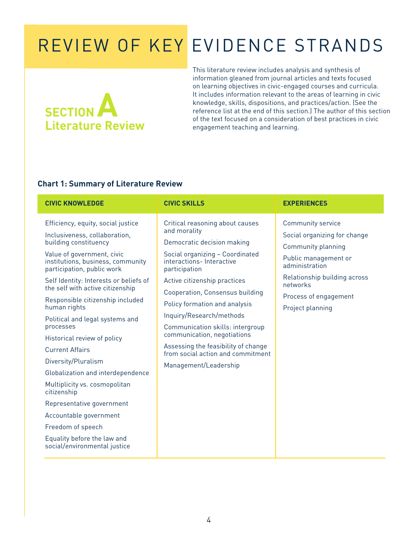# **SECTION Literature Review**

This literature review includes analysis and synthesis of information gleaned from journal articles and texts focused on learning objectives in civic-engaged courses and curricula. It includes information relevant to the areas of learning in civic knowledge, skills, dispositions, and practices/action. (See the reference list at the end of this section.) The author of this section of the text focused on a consideration of best practices in civic engagement teaching and learning.

#### **Chart 1: Summary of Literature Review**

| <b>CIVIC SKILLS</b><br><b>CIVIC KNOWLEDGE</b>                                                                                                                                                                                                                                                                                                                                                                                                                                                                                                                                                                                                                                                   |                                                                                                                                                                                                                                                                                                                                                                                                                                                                       | <b>EXPERIENCES</b>                                                                                                                                                                                                |
|-------------------------------------------------------------------------------------------------------------------------------------------------------------------------------------------------------------------------------------------------------------------------------------------------------------------------------------------------------------------------------------------------------------------------------------------------------------------------------------------------------------------------------------------------------------------------------------------------------------------------------------------------------------------------------------------------|-----------------------------------------------------------------------------------------------------------------------------------------------------------------------------------------------------------------------------------------------------------------------------------------------------------------------------------------------------------------------------------------------------------------------------------------------------------------------|-------------------------------------------------------------------------------------------------------------------------------------------------------------------------------------------------------------------|
| Efficiency, equity, social justice<br>Inclusiveness, collaboration,<br>building constituency<br>Value of government, civic<br>institutions, business, community<br>participation, public work<br>Self Identity: Interests or beliefs of<br>the self with active citizenship<br>Responsible citizenship included<br>human rights<br>Political and legal systems and<br>processes<br>Historical review of policy<br><b>Current Affairs</b><br>Diversity/Pluralism<br>Globalization and interdependence<br>Multiplicity vs. cosmopolitan<br>citizenship<br>Representative government<br>Accountable government<br>Freedom of speech<br>Equality before the law and<br>social/environmental justice | Critical reasoning about causes<br>and morality<br>Democratic decision making<br>Social organizing - Coordinated<br>interactions-Interactive<br>participation<br>Active citizenship practices<br>Cooperation, Consensus building<br>Policy formation and analysis<br>Inquiry/Research/methods<br>Communication skills: intergroup<br>communication, negotiations<br>Assessing the feasibility of change<br>from social action and commitment<br>Management/Leadership | <b>Community service</b><br>Social organizing for change<br>Community planning<br>Public management or<br>administration<br>Relationship building across<br>networks<br>Process of engagement<br>Project planning |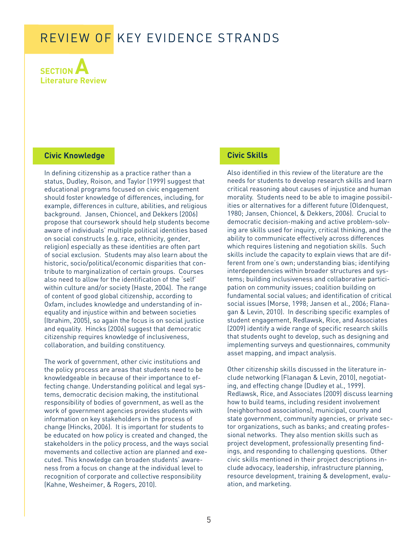**SECTION A Literature Review**

#### **Civic Knowledge**

In defining citizenship as a practice rather than a status, Dudley, Roison, and Taylor (1999) suggest that educational programs focused on civic engagement should foster knowledge of differences, including, for example, differences in culture, abilities, and religious background. Jansen, Chioncel, and Dekkers (2006) propose that coursework should help students become aware of individuals' multiple political identities based on social constructs (e.g. race, ethnicity, gender, religion) especially as these identities are often part of social exclusion. Students may also learn about the historic, socio/political/economic disparities that contribute to marginalization of certain groups. Courses also need to allow for the identification of the 'self' within culture and/or society (Haste, 2004). The range of content of good global citizenship, according to Oxfam, includes knowledge and understanding of inequality and injustice within and between societies (Ibrahim, 2005), so again the focus is on social justice and equality. Hincks (2006) suggest that democratic citizenship requires knowledge of inclusiveness, collaboration, and building constituency.

The work of government, other civic institutions and the policy process are areas that students need to be knowledgeable in because of their importance to effecting change. Understanding political and legal systems, democratic decision making, the institutional responsibility of bodies of government, as well as the work of government agencies provides students with information on key stakeholders in the process of change (Hincks, 2006). It is important for students to be educated on how policy is created and changed, the stakeholders in the policy process, and the ways social movements and collective action are planned and executed. This knowledge can broaden students' awareness from a focus on change at the individual level to recognition of corporate and collective responsibility (Kahne, Wesheimer, & Rogers, 2010).

#### **Civic Skills**

Also identified in this review of the literature are the needs for students to develop research skills and learn critical reasoning about causes of injustice and human morality. Students need to be able to imagine possibilities or alternatives for a different future (Oldenquest, 1980; Jansen, Chioncel, & Dekkers, 2006). Crucial to democratic decision-making and active problem-solving are skills used for inquiry, critical thinking, and the ability to communicate effectively across differences which requires listening and negotiation skills. Such skills include the capacity to explain views that are different from one's own; understanding bias; identifying interdependencies within broader structures and systems; building inclusiveness and collaborative participation on community issues; coalition building on fundamental social values; and identification of critical social issues (Morse, 1998; Jansen et al., 2006; Flanagan & Levin, 2010). In describing specific examples of student engagement, Redlawsk, Rice, and Associates (2009) identify a wide range of specific research skills that students ought to develop, such as designing and implementing surveys and questionnaires, community asset mapping, and impact analysis.

Other citizenship skills discussed in the literature include networking (Flanagan & Levin, 2010), negotiating, and effecting change (Dudley et al., 1999). Redlawsk, Rice, and Associates (2009) discuss learning how to build teams, including resident involvement (neighborhood associations), municipal, county and state government, community agencies, or private sector organizations, such as banks; and creating professional networks. They also mention skills such as project development, professionally presenting findings, and responding to challenging questions. Other civic skills mentioned in their project descriptions include advocacy, leadership, infrastructure planning, resource development, training & development, evaluation, and marketing.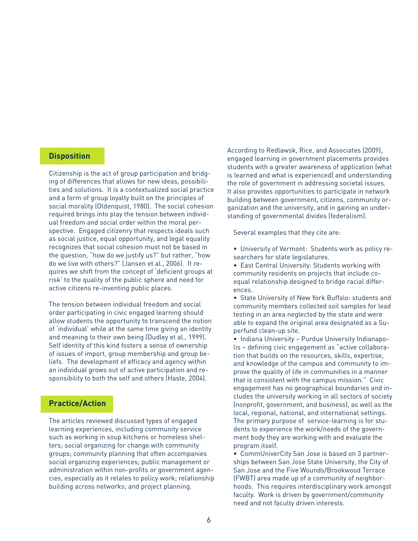#### **Disposition**

Citizenship is the act of group participation and bridging of differences that allows for new ideas, possibilities and solutions. It is a contextualized social practice and a form of group loyalty built on the principles of social morality (Oldenquist, 1980). The social cohesion required brings into play the tension between individual freedom and social order within the moral perspective. Engaged citizenry that respects ideals such as social justice, equal opportunity, and legal equality recognizes that social cohesion must not be based in the question, "how do we justify us?" but rather, "how do we live with others?" (Jansen et al., 2006). It requires we shift from the concept of 'deficient groups at risk' to the quality of the public sphere and need for active citizens re-inventing public places.

The tension between individual freedom and social order participating in civic engaged learning should allow students the opportunity to transcend the notion of 'individual' while at the same time giving an identity and meaning to their own being (Dudley et al., 1999). Self identity of this kind fosters a sense of ownership of issues of import, group membership and group beliefs. The development of efficacy and agency within an individual grows out of active participation and responsibility to both the self and others (Haste, 2004).

#### **Practice/Action**

The articles reviewed discussed types of engaged learning experiences, including community service such as working in soup kitchens or homeless shelters; social organizing for change with community groups; community planning that often accompanies social organizing experiences; public management or administration within non-profits or government agencies, especially as it relates to policy work; relationship building across networks; and project planning.

According to Redlawsk, Rice, and Associates (2009), engaged learning in government placements provides students with a greater awareness of application (what is learned and what is experienced) and understanding the role of government in addressing societal issues. It also provides opportunities to participate in network building between government, citizens, community organization and the university, and in gaining an understanding of governmental divides (federalism).

Several examples that they cite are:

- University of Vermont: Students work as policy researchers for state legislatures.
- East Central University: Students working with community residents on projects that include coequal relationship designed to bridge racial differences.
- State University of New York Buffalo: students and community members collected soil samples for lead testing in an area neglected by the state and were able to expand the original area designated as a Superfund clean-up site.
- Indiana University Purdue University Indianapolis – defining civic engagement as "active collaboration that builds on the resources, skills, expertise, and knowledge of the campus and community to improve the quality of life in communities in a manner that is consistent with the campus mission." Civic engagement has no geographical boundaries and includes the university working in all sectors of society (nonprofit, government, and business), as well as the local, regional, national, and international settings. The primary purpose of service-learning is for students to experience the work/needs of the government body they are working with and evaluate the program itself.
- CommUniverCity San Jose is based on 3 partnerships between San Jose State University, the City of San Jose and the Five Wounds/Brookwood Terrace (FWBT) area made up of a community of neighborhoods. This requires interdisciplinary work amongst faculty. Work is driven by government/community need and not faculty driven interests.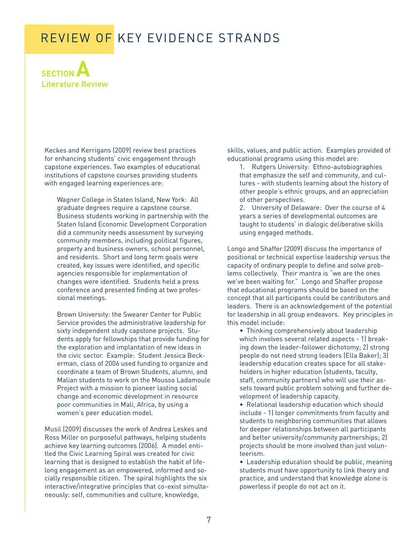

Keckes and Kerrigans (2009) review best practices for enhancing students' civic engagement through capstone experiences. Two examples of educational institutions of capstone courses providing students with engaged learning experiences are:

Wagner College in Staten Island, New York: All graduate degrees require a capstone course. Business students working in partnership with the Staten Island Economic Development Corporation did a community needs assessment by surveying community members, including political figures, property and business owners, school personnel, and residents. Short and long term goals were created, key issues were identified, and specific agencies responsible for implementation of changes were identified. Students held a press conference and presented finding at two professional meetings.

Brown University: the Swearer Center for Public Service provides the administrative leadership for sixty independent study capstone projects. Students apply for fellowships that provide funding for the exploration and implantation of new ideas in the civic sector. Example: Student Jessica Beckerman, class of 2006 used funding to organize and coordinate a team of Brown Students, alumni, and Malian students to work on the Mousso Ladamoule Project with a mission to pioneer lasting social change and economic development in resource poor communities in Mali, Africa, by using a women's peer education model.

Musil (2009) discusses the work of Andrea Leskes and Ross Miller on purposeful pathways, helping students achieve key learning outcomes (2006). A model entitled the Civic Learning Spiral was created for civic learning that is designed to establish the habit of lifelong engagement as an empowered, informed and socially responsible citizen. The spiral highlights the six interactive/integrative principles that co-exist simultaneously: self, communities and culture, knowledge,

skills, values, and public action. Examples provided of educational programs using this model are:

- 1. Rutgers University: Ethno-autobiographies that emphasize the self and community, and cultures - with students learning about the history of other people's ethnic groups, and an appreciation of other perspectives.
- 2. University of Delaware: Over the course of 4 years a series of developmental outcomes are taught to students' in dialogic deliberative skills using engaged methods.

Longo and Shaffer (2009) discuss the importance of positional or technical expertise leadership versus the capacity of ordinary people to define and solve problems collectively. Their mantra is "we are the ones we've been waiting for." Longo and Shaffer propose that educational programs should be based on the concept that all participants could be contributors and leaders. There is an acknowledgement of the potential for leadership in all group endeavors. Key principles in this model include:

• Thinking comprehensively about leadership which involves several related aspects - 1) breaking down the leader-follower dichotomy; 2) strong people do not need strong leaders (Ella Baker); 3) leadership education creates space for all stakeholders in higher education (students, faculty, staff, community partners) who will use their assets toward public problem solving and further development of leadership capacity.

• Relational leadership education which should include - 1) longer commitments from faculty and students to neighboring communities that allows for deeper relationships between all participants and better university/community partnerships; 2) projects should be more involved than just volunteerism.

• Leadership education should be public, meaning students must have opportunity to link theory and practice, and understand that knowledge alone is powerless if people do not act on it.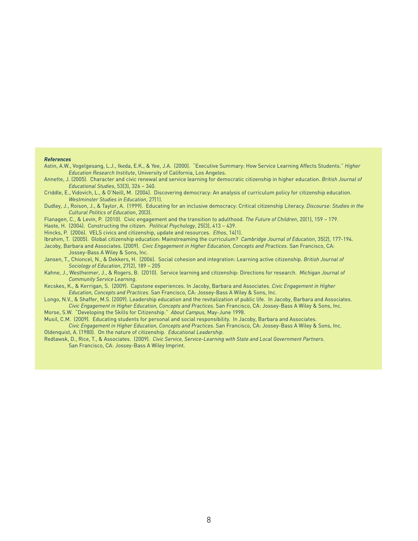#### *References*

Astin, A.W., Vogelgesang, L.J., Ikeda, E.K., & Yee, J.A. (2000). "Executive Summary: How Service Learning Affects Students." *Higher Education Research Institute*, University of California, Los Angeles.

Annette, J. (2005). Character and civic renewal and service learning for democratic citizenship in higher education. *British Journal of Educational Studies*, 53(3), 326 – 340.

Criddle, E., Vidovich, L., & O'Neill, M. (2004). Discovering democracy: An analysis of curriculum policy for citizenship education. *Westminster Studies in Education*, 27(1).

Dudley, J., Roison, J., & Taylor, A. (1999). Educating for an inclusive democracy: Critical citizenship Literacy. *Discourse: Studies in the Cultural Politics of Education*, 20(3).

Flanagen, C., & Levin, P. (2010). Civic engagement and the transition to adulthood. *The Future of Children*, 20(1), 159 – 179.

Haste, H. (2004). Constructing the citizen. *Political Psychology*, 25(3), 413 – 439.

Hincks, P. (2006). VELS civics and citizenship, update and resources. *Ethos*, 14(1).

Ibrahim, T. (2005). Global citizenship education: Mainstreaming the curriculum? *Cambridge Journal of Education*, 35(2), 177-194.

Jacoby, Barbara and Associates. (2009). *Civic Engagement in Higher Education, Concepts and Practices*. San Francisco, CA: Jossey-Bass A Wiley & Sons, Inc.

Jansen, T., Chioncel, N., & Dekkers, H. (2006). Social cohesion and integration: Learning active citizenship. *British Journal of Sociology of Education*, 27(2), 189 – 205

Kahne, J., Westheimer, J., & Rogers, B. (2010). Service learning and citizenship: Directions for research. *Michigan Journal of Community Service Learning*.

Kecskes, K., & Kerrigan, S. (2009). Capstone experiences. In Jacoby, Barbara and Associates. *Civic Engagement in Higher Education, Concepts and Practices*. San Francisco, CA: Jossey-Bass A Wiley & Sons, Inc.

Longo, N.V., & Shaffer, M.S. (2009). Leadership education and the revitalization of public life. In Jacoby, Barbara and Associates.

*Civic Engagement in Higher Education, Concepts and Practices*. San Francisco, CA: Jossey-Bass A Wiley & Sons, Inc. Morse, S.W. "Developing the Skills for Citizenship." *About Campus,* May-June 1998.

Musil, C.M. (2009). Educating students for personal and social responsibility. In Jacoby, Barbara and Associates.

*Civic Engagement in Higher Education, Concepts and Practices*. San Francisco, CA: Jossey-Bass A Wiley & Sons, Inc. Oldenquist, A. (1980). On the nature of citizenship. *Educational Leadership*.

Redlawsk, D., Rice, T., & Associates. (2009). *Civic Service, Service-Learning with State and Local Government Partners*. San Francisco, CA: Jossey-Bass A Wiley Imprint.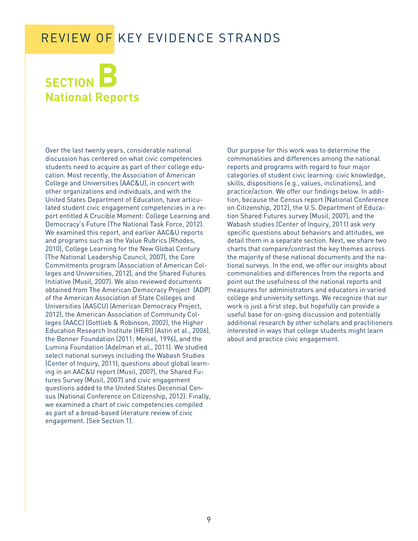# **SECTION National Reports**

Over the last twenty years, considerable national discussion has centered on what civic competencies students need to acquire as part of their college education. Most recently, the Association of American College and Universities (AAC&U), in concert with other organizations and individuals, and with the United States Department of Education, have articulated student civic engagement competencies in a report entitled A Crucible Moment: College Learning and Democracy's Future (The National Task Force, 2012). We examined this report, and earlier AAC&U reports and programs such as the Value Rubrics (Rhodes, 2010), College Learning for the New Global Century (The National Leadership Council, 2007), the Core Commitments program (Association of American Colleges and Universities, 2012), and the Shared Futures Initiative (Musil, 2007). We also reviewed documents obtained from The American Democracy Project (ADP) of the American Association of State Colleges and Universities (AASCU) (American Democracy Project, 2012), the American Association of Community Colleges (AACC) (Gottlieb & Robinson, 2002), the Higher Education Research Institute (HERI) (Astin et al., 2006), the Bonner Foundation (2011; Meisel, 1996), and the Lumina Foundation (Adelman et al., 2011). We studied select national surveys including the Wabash Studies (Center of Inquiry, 2011), questions about global learning in an AAC&U report (Musil, 2007), the Shared Futures Survey (Musil, 2007) and civic engagement questions added to the United States Decennial Census (National Conference on Citizenship, 2012). Finally, we examined a chart of civic competencies compiled as part of a broad-based literature review of civic engagement. (See Section 1).

Our purpose for this work was to determine the commonalities and differences among the national reports and programs with regard to four major categories of student civic learning: civic knowledge, skills, dispositions (e.g., values, inclinations), and practice/action. We offer our findings below. In addition, because the Census report (National Conference on Citizenship, 2012), the U.S. Department of Education Shared Futures survey (Musil, 2007), and the Wabash studies (Center of Inquiry, 2011) ask very specific questions about behaviors and attitudes, we detail them in a separate section. Next, we share two charts that compare/contrast the key themes across the majority of these national documents and the national surveys. In the end, we offer our insights about commonalities and differences from the reports and point out the usefulness of the national reports and measures for administrators and educators in varied college and university settings. We recognize that our work is just a first step, but hopefully can provide a useful base for on-going discussion and potentially additional research by other scholars and practitioners interested in ways that college students might learn about and practice civic engagement.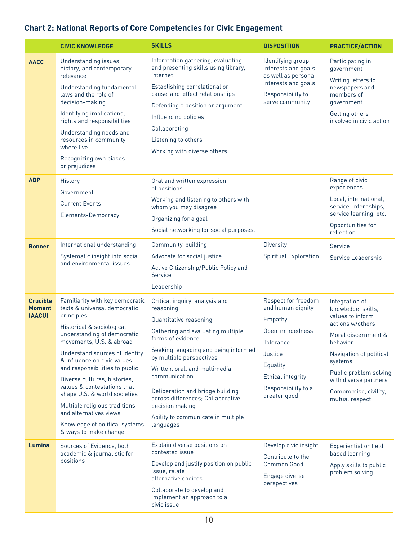### **Chart 2: National Reports of Core Competencies for Civic Engagement**

|                                            | <b>CIVIC KNOWLEDGE</b>                                                                                                                                                                                                                                                                                                                                                                                                                                                                        | <b>SKILLS</b>                                                                                                                                                                                                                                                                                                                                                                                        | <b>DISPOSITION</b>                                                                                                                                                                   | <b>PRACTICE/ACTION</b>                                                                                                                                                                                                                                     |
|--------------------------------------------|-----------------------------------------------------------------------------------------------------------------------------------------------------------------------------------------------------------------------------------------------------------------------------------------------------------------------------------------------------------------------------------------------------------------------------------------------------------------------------------------------|------------------------------------------------------------------------------------------------------------------------------------------------------------------------------------------------------------------------------------------------------------------------------------------------------------------------------------------------------------------------------------------------------|--------------------------------------------------------------------------------------------------------------------------------------------------------------------------------------|------------------------------------------------------------------------------------------------------------------------------------------------------------------------------------------------------------------------------------------------------------|
| <b>AACC</b>                                | Understanding issues,<br>history, and contemporary<br>relevance<br>Understanding fundamental<br>laws and the role of                                                                                                                                                                                                                                                                                                                                                                          | Information gathering, evaluating<br>and presenting skills using library,<br>internet<br>Establishing correlational or<br>cause-and-effect relationships                                                                                                                                                                                                                                             | Identifying group<br>interests and goals<br>as well as persona<br>interests and goals<br>Responsibility to                                                                           | Participating in<br>government<br>Writing letters to<br>newspapers and<br>members of                                                                                                                                                                       |
|                                            | decision-making<br>Identifying implications,<br>rights and responsibilities<br>Understanding needs and<br>resources in community<br>where live<br>Recognizing own biases<br>or prejudices                                                                                                                                                                                                                                                                                                     | Defending a position or argument<br>Influencing policies<br>Collaborating<br>Listening to others<br>Working with diverse others                                                                                                                                                                                                                                                                      | serve community                                                                                                                                                                      | government<br>Getting others<br>involved in civic action                                                                                                                                                                                                   |
| <b>ADP</b>                                 | History<br>Government<br><b>Current Events</b><br><b>Elements-Democracy</b>                                                                                                                                                                                                                                                                                                                                                                                                                   | Oral and written expression<br>of positions<br>Working and listening to others with<br>whom you may disagree<br>Organizing for a goal<br>Social networking for social purposes.                                                                                                                                                                                                                      |                                                                                                                                                                                      | Range of civic<br>experiences<br>Local, international,<br>service, internships,<br>service learning, etc.<br>Opportunities for<br>reflection                                                                                                               |
| <b>Bonner</b>                              | International understanding<br>Systematic insight into social<br>and environmental issues                                                                                                                                                                                                                                                                                                                                                                                                     | Community-building<br>Advocate for social justice<br>Active Citizenship/Public Policy and<br>Service<br>Leadership                                                                                                                                                                                                                                                                                   | <b>Diversity</b><br><b>Spiritual Exploration</b>                                                                                                                                     | Service<br>Service Leadership                                                                                                                                                                                                                              |
| <b>Crucible</b><br><b>Moment</b><br>(AACU) | Familiarity with key democratic<br>texts & universal democratic<br>principles<br>Historical & sociological<br>understanding of democratic<br>movements, U.S. & abroad<br>Understand sources of identity<br>& influence on civic values<br>and responsibilities to public<br>Diverse cultures, histories,<br>values & contestations that<br>shape U.S. & world societies<br>Multiple religious traditions<br>and alternatives views<br>Knowledge of political systems<br>& ways to make change | Critical inquiry, analysis and<br>reasoning<br>Quantitative reasoning<br>Gathering and evaluating multiple<br>forms of evidence<br>Seeking, engaging and being informed<br>by multiple perspectives<br>Written, oral, and multimedia<br>communication<br>Deliberation and bridge building<br>across differences; Collaborative<br>decision making<br>Ability to communicate in multiple<br>languages | Respect for freedom<br>and human dignity<br>Empathy<br>Open-mindedness<br><b>Tolerance</b><br>Justice<br>Equality<br><b>Ethical integrity</b><br>Responsibility to a<br>greater good | Integration of<br>knowledge, skills,<br>values to inform<br>actions w/others<br>Moral discernment &<br><b>behavior</b><br>Navigation of political<br>systems<br>Public problem solving<br>with diverse partners<br>Compromise, civility,<br>mutual respect |
| Lumina                                     | Sources of Evidence, both<br>academic & journalistic for<br>positions                                                                                                                                                                                                                                                                                                                                                                                                                         | Explain diverse positions on<br>contested issue<br>Develop and justify position on public<br>issue, relate<br>alternative choices<br>Collaborate to develop and<br>implement an approach to a<br>civic issue                                                                                                                                                                                         | Develop civic insight<br>Contribute to the<br><b>Common Good</b><br>Engage diverse<br>perspectives                                                                                   | <b>Experiential or field</b><br>based learning<br>Apply skills to public<br>problem solving.                                                                                                                                                               |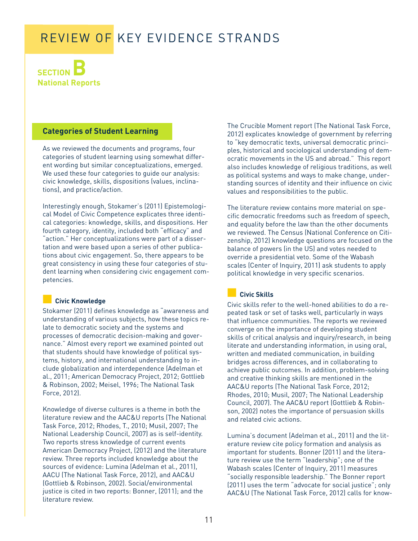**SECTION National Reports**

#### **Categories of Student Learning**

As we reviewed the documents and programs, four categories of student learning using somewhat different wording but similar conceptualizations, emerged. We used these four categories to guide our analysis: civic knowledge, skills, dispositions (values, inclinations), and practice/action.

Interestingly enough, Stokamer's (2011) Epistemological Model of Civic Competence explicates three identical categories: knowledge, skills, and dispositions. Her fourth category, identity, included both "efficacy" and "action." Her conceptualizations were part of a dissertation and were based upon a series of other publications about civic engagement. So, there appears to be great consistency in using these four categories of student learning when considering civic engagement competencies.

#### **■ Civic Knowledge**

Stokamer (2011) defines knowledge as "awareness and understanding of various subjects, how these topics relate to democratic society and the systems and processes of democratic decision-making and governance." Almost every report we examined pointed out that students should have knowledge of political systems, history, and international understanding to include globalization and interdependence (Adelman et al., 2011; American Democracy Project, 2012; Gottlieb & Robinson, 2002; Meisel, 1996; The National Task Force, 2012).

Knowledge of diverse cultures is a theme in both the literature review and the AAC&U reports (The National Task Force, 2012; Rhodes, T., 2010; Musil, 2007; The National Leadership Council, 2007) as is self-identity. Two reports stress knowledge of current events American Democracy Project, (2012) and the literature review. Three reports included knowledge about the sources of evidence: Lumina (Adelman et al., 2011), AACU (The National Task Force, 2012), and AAC&U (Gottlieb & Robinson, 2002). Social/environmental justice is cited in two reports: Bonner, (2011); and the literature review.

The Crucible Moment report (The National Task Force, 2012) explicates knowledge of government by referring to "key democratic texts, universal democratic principles, historical and sociological understanding of democratic movements in the US and abroad." This report also includes knowledge of religious traditions, as well as political systems and ways to make change, understanding sources of identity and their influence on civic values and responsibilities to the public.

The literature review contains more material on specific democratic freedoms such as freedom of speech, and equality before the law than the other documents we reviewed. The Census (National Conference on Citizenship, 2012) knowledge questions are focused on the balance of powers (in the US) and votes needed to override a presidential veto. Some of the Wabash scales (Center of Inquiry, 2011) ask students to apply political knowledge in very specific scenarios.

#### **■ Civic Skills**

Civic skills refer to the well-honed abilities to do a repeated task or set of tasks well, particularly in ways that influence communities. The reports we reviewed converge on the importance of developing student skills of critical analysis and inquiry/research, in being literate and understanding information, in using oral, written and mediated communication, in building bridges across differences, and in collaborating to achieve public outcomes. In addition, problem-solving and creative thinking skills are mentioned in the AAC&U reports (The National Task Force, 2012; Rhodes, 2010; Musil, 2007; The National Leadership Council, 2007). The AAC&U report (Gottlieb & Robinson, 2002) notes the importance of persuasion skills and related civic actions.

Lumina's document (Adelman et al., 2011) and the literature review cite policy formation and analysis as important for students. Bonner (2011) and the literature review use the term "leadership"; one of the Wabash scales (Center of Inquiry, 2011) measures "socially responsible leadership." The Bonner report (2011) uses the term "advocate for social justice"; only AAC&U (The National Task Force, 2012) calls for know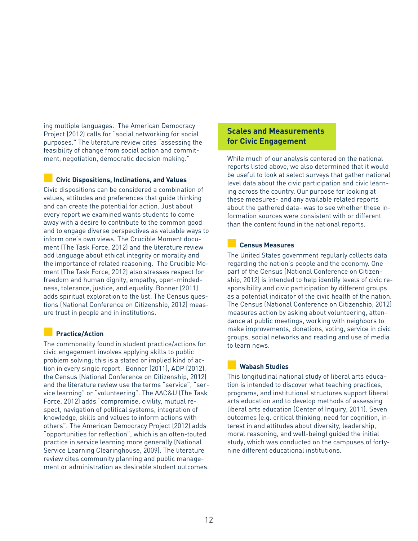ing multiple languages. The American Democracy Project (2012) calls for "social networking for social purposes." The literature review cites "assessing the feasibility of change from social action and commitment, negotiation, democratic decision making."

#### **■ Civic Dispositions, Inclinations, and Values**

Civic dispositions can be considered a combination of values, attitudes and preferences that guide thinking and can create the potential for action. Just about every report we examined wants students to come away with a desire to contribute to the common good and to engage diverse perspectives as valuable ways to inform one's own views. The Crucible Moment document (The Task Force, 2012) and the literature review add language about ethical integrity or morality and the importance of related reasoning. The Crucible Moment (The Task Force, 2012) also stresses respect for freedom and human dignity, empathy, open-mindedness, tolerance, justice, and equality. Bonner (2011) adds spiritual exploration to the list. The Census questions (National Conference on Citizenship, 2012) measure trust in people and in institutions.

#### **■ Practice/Action**

The commonality found in student practice/actions for civic engagement involves applying skills to public problem solving; this is a stated or implied kind of action in every single report. Bonner (2011), ADP (2012), the Census (National Conference on Citizenship, 2012) and the literature review use the terms "service", "service learning" or "volunteering". The AAC&U (The Task Force, 2012) adds "compromise, civility, mutual respect, navigation of political systems, integration of knowledge, skills and values to inform actions with others". The American Democracy Project (2012) adds "opportunities for reflection", which is an often-touted practice in service learning more generally (National Service Learning Clearinghouse, 2009). The literature review cites community planning and public management or administration as desirable student outcomes.

#### **Scales and Measurements for Civic Engagement**

While much of our analysis centered on the national reports listed above, we also determined that it would be useful to look at select surveys that gather national level data about the civic participation and civic learning across the country. Our purpose for looking at these measures- and any available related reports about the gathered data- was to see whether these information sources were consistent with or different than the content found in the national reports.

#### **■ Census Measures**

The United States government regularly collects data regarding the nation's people and the economy. One part of the Census (National Conference on Citizenship, 2012) is intended to help identify levels of civic responsibility and civic participation by different groups as a potential indicator of the civic health of the nation. The Census (National Conference on Citizenship, 2012) measures action by asking about volunteering, attendance at public meetings, working with neighbors to make improvements, donations, voting, service in civic groups, social networks and reading and use of media to learn news.

#### **■ Wabash Studies**

This longitudinal national study of liberal arts education is intended to discover what teaching practices, programs, and institutional structures support liberal arts education and to develop methods of assessing liberal arts education (Center of Inquiry, 2011). Seven outcomes (e.g. critical thinking, need for cognition, interest in and attitudes about diversity, leadership, moral reasoning, and well-being) guided the initial study, which was conducted on the campuses of fortynine different educational institutions.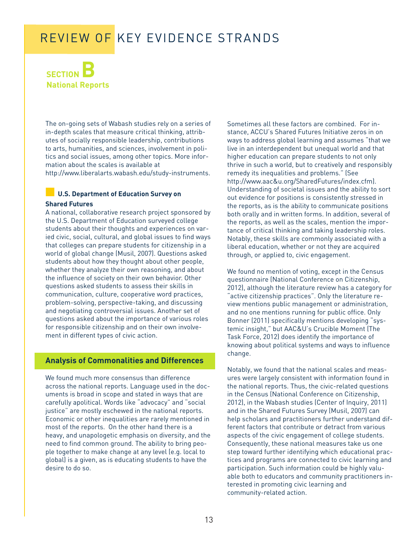

The on-going sets of Wabash studies rely on a series of in-depth scales that measure critical thinking, attributes of socially responsible leadership, contributions to arts, humanities, and sciences, involvement in politics and social issues, among other topics. More information about the scales is available at

http://www.liberalarts.wabash.edu/study-instruments.

#### **■ U.S. Department of Education Survey on Shared Futures**

A national, collaborative research project sponsored by the U.S. Department of Education surveyed college students about their thoughts and experiences on varied civic, social, cultural, and global issues to find ways that colleges can prepare students for citizenship in a world of global change (Musil, 2007). Questions asked students about how they thought about other people, whether they analyze their own reasoning, and about the influence of society on their own behavior. Other questions asked students to assess their skills in communication, culture, cooperative word practices, problem-solving, perspective-taking, and discussing and negotiating controversial issues. Another set of questions asked about the importance of various roles for responsible citizenship and on their own involvement in different types of civic action.

#### **Analysis of Commonalities and Differences**

We found much more consensus than difference across the national reports. Language used in the documents is broad in scope and stated in ways that are carefully apolitical. Words like "advocacy" and "social justice" are mostly eschewed in the national reports. Economic or other inequalities are rarely mentioned in most of the reports. On the other hand there is a heavy, and unapologetic emphasis on diversity, and the need to find common ground. The ability to bring people together to make change at any level (e.g. local to global) is a given, as is educating students to have the desire to do so.

Sometimes all these factors are combined. For instance, ACCU's Shared Futures Initiative zeros in on ways to address global learning and assumes "that we live in an interdependent but unequal world and that higher education can prepare students to not only thrive in such a world, but to creatively and responsibly remedy its inequalities and problems." (See http://www.aac&u.org/SharedFutures/index.cfm). Understanding of societal issues and the ability to sort out evidence for positions is consistently stressed in the reports, as is the ability to communicate positions both orally and in written forms. In addition, several of the reports, as well as the scales, mention the importance of critical thinking and taking leadership roles. Notably, these skills are commonly associated with a liberal education, whether or not they are acquired through, or applied to, civic engagement.

We found no mention of voting, except in the Census questionnaire (National Conference on Citizenship, 2012), although the literature review has a category for "active citizenship practices". Only the literature review mentions public management or administration, and no one mentions running for public office. Only Bonner (2011) specifically mentions developing "systemic insight," but AAC&U's Crucible Moment (The Task Force, 2012) does identify the importance of knowing about political systems and ways to influence change.

Notably, we found that the national scales and measures were largely consistent with information found in the national reports. Thus, the civic-related questions in the Census (National Conference on Citizenship, 2012), in the Wabash studies (Center of Inquiry, 2011) and in the Shared Futures Survey (Musil, 2007) can help scholars and practitioners further understand different factors that contribute or detract from various aspects of the civic engagement of college students. Consequently, these national measures take us one step toward further identifying which educational practices and programs are connected to civic learning and participation. Such information could be highly valuable both to educators and community practitioners interested in promoting civic learning and community-related action.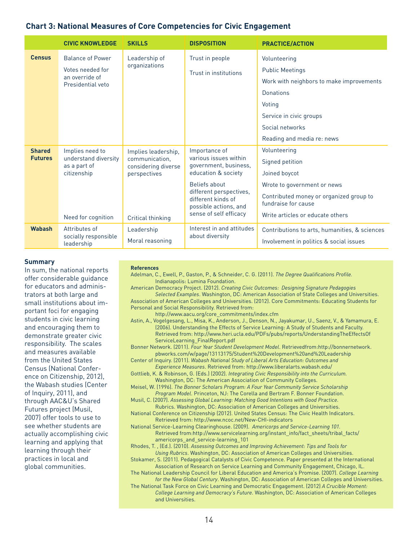#### **Chart 3: National Measures of Core Competencies for Civic Engagement**

|                | <b>CIVIC KNOWLEDGE</b>                | <b>SKILLS</b>                         | <b>DISPOSITION</b>                                                     | <b>PRACTICE/ACTION</b>                                         |
|----------------|---------------------------------------|---------------------------------------|------------------------------------------------------------------------|----------------------------------------------------------------|
| <b>Census</b>  | <b>Balance of Power</b>               | Leadership of                         | Trust in people                                                        | Volunteering                                                   |
|                | Votes needed for                      | organizations                         | Trust in institutions                                                  | <b>Public Meetings</b>                                         |
|                | an override of<br>Presidential veto   |                                       |                                                                        | Work with neighbors to make improvements                       |
|                |                                       |                                       |                                                                        | Donations                                                      |
|                |                                       |                                       |                                                                        | Voting                                                         |
|                |                                       |                                       |                                                                        | Service in civic groups                                        |
|                |                                       |                                       |                                                                        | Social networks                                                |
|                |                                       |                                       |                                                                        | Reading and media re: news                                     |
| <b>Shared</b>  | Implies need to                       | Implies leadership,                   | Importance of                                                          | Volunteering                                                   |
| <b>Futures</b> | understand diversity<br>as a part of  | communication,<br>considering diverse | various issues within<br>government, business,                         | Signed petition                                                |
|                | citizenship                           | perspectives                          | education & society                                                    | Joined boycot                                                  |
|                |                                       |                                       | <b>Beliefs about</b>                                                   | Wrote to government or news                                    |
|                |                                       |                                       | different perspectives,<br>different kinds of<br>possible actions, and | Contributed money or organized group to<br>fundraise for cause |
|                | Need for cognition                    | Critical thinking                     | sense of self efficacy                                                 | Write articles or educate others                               |
| <b>Wabash</b>  | Attributes of<br>socially responsible | Leadership                            | Interest in and attitudes<br>about diversity                           | Contributions to arts, humanities, & sciences                  |
|                | leadership                            | Moral reasoning                       |                                                                        | Involvement in politics & social issues                        |

#### **Summary**

In sum, the national reports offer considerable guidance for educators and administrators at both large and small institutions about important foci for engaging students in civic learning and encouraging them to demonstrate greater civic responsibility. The scales and measures available from the United States Census (National Conference on Citizenship, 2012), the Wabash studies (Center of Inquiry, 2011), and through AAC&U's Shared Futures project (Musil, 2007) offer tools to use to see whether students are actually accomplishing civic learning and applying that learning through their practices in local and global communities.

#### **References**

Adelman, C., Ewell, P., Gaston, P., & Schneider, C. G. (2011). *The Degree Qualifications Profile.* Indianapolis: Lumina Foundation.

American Democracy Project. (2012). *Creating Civic Outcomes: Designing Signature Pedagogies Selected Examples*. Washington, DC: American Association of State Colleges and Universities. Association of American Colleges and Universities. (2012). Core Commitments: Educating Students for Personal and Social Responsibility. Retrieved from:

http://www.aacu.org/core\_commitments/index.cfm

Astin, A., Vogelgesang, L., Misa, K., Anderson, J., Denson, N., Jayakumar, U., Saenz, V., & Yamamura, E. (2006). Understanding the Effects of Service Learning: A Study of Students and Faculty. Retrieved from: http://www.heri.ucla.edu/PDFs/pubs/reports/UnderstandingTheEffectsOf ServiceLearning\_FinalReport.pdf

Bonner Network. (2011). *Four Year Student Development Model*. Retrievedfrom:http://bonnernetwork. pbworks.com/w/page/13113175/Student%20Development%20and%20Leadership

- Center of Inquiry. (2011). *Wabash National Study of Liberal Arts Education: Outcomes and Experience Measures*. Retrieved from: http://www.liberalarts.wabash.edu/
- Gottlieb, K. & Robinson, G. (Eds.) (2002). *Integrating Civic Responsibility into the Curriculum.* Washington, DC: The American Association of Community Colleges.
- Meisel, W. (1996). *The Bonner Scholars Program: A Four Year Community Service Scholarship Program Model*. Princeton, NJ: The Corella and Bertram F. Bonner Foundation.
- Musil, C. (2007). *Assessing Global Learning: Matching Good Intentions with Good Practice*. Rubrics. Washington, DC: Association of American Colleges and Universities.

National Conference on Citizenship (2012). United States Census: The Civic Health Indicators. Retrieved from: http://www.ncoc.net/New-CHI-indicators

National Service-Learning Clearinghouse. (2009). *Americorps and Service-Learning 101.* Retrieved from:http://www.servicelearning.org/instant\_info/fact\_sheets/tribal\_facts/ americorps\_and\_service-learning\_101

Rhodes, T. , (Ed.). (2010). *Assessing Outcomes and Improving Achievement: Tips and Tools for Using Rubrics*. Washington, DC: Association of American Colleges and Universities.

Stokamer, S. (2011). Pedagogical Catalysts of Civic Competence. Paper presented at the International Association of Research on Service Learning and Community Engagement, Chicago, IL.

The National Leadership Council for Liberal Education and America's Promise. (2007). *College Learning for the New Global Century*. Washington, DC: Association of American Colleges and Universities. The National Task Force on Civic Learning and Democratic Engagement. (2012) *A Crucible Moment:*

*College Learning and Democracy's Future*. Washington, DC: Association of American Colleges and Universities.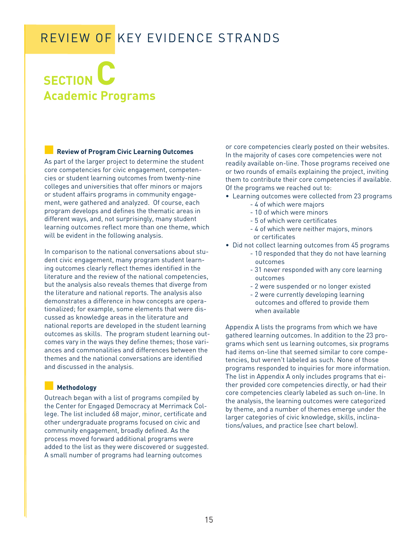# **SECTION C Academic Programs**

#### **■ Review of Program Civic Learning Outcomes**

As part of the larger project to determine the student core competencies for civic engagement, competencies or student learning outcomes from twenty-nine colleges and universities that offer minors or majors or student affairs programs in community engagement, were gathered and analyzed. Of course, each program develops and defines the thematic areas in different ways, and, not surprisingly, many student learning outcomes reflect more than one theme, which will be evident in the following analysis.

In comparison to the national conversations about student civic engagement, many program student learning outcomes clearly reflect themes identified in the literature and the review of the national competencies, but the analysis also reveals themes that diverge from the literature and national reports. The analysis also demonstrates a difference in how concepts are operationalized; for example, some elements that were discussed as knowledge areas in the literature and national reports are developed in the student learning outcomes as skills. The program student learning outcomes vary in the ways they define themes; those variances and commonalities and differences between the themes and the national conversations are identified and discussed in the analysis.

#### **■ Methodology**

Outreach began with a list of programs compiled by the Center for Engaged Democracy at Merrimack College. The list included 68 major, minor, certificate and other undergraduate programs focused on civic and community engagement, broadly defined. As the process moved forward additional programs were added to the list as they were discovered or suggested. A small number of programs had learning outcomes

or core competencies clearly posted on their websites. In the majority of cases core competencies were not readily available on-line. Those programs received one or two rounds of emails explaining the project, inviting them to contribute their core competencies if available. Of the programs we reached out to:

- Learning outcomes were collected from 23 programs
	- 4 of which were majors
	- 10 of which were minors
	- 5 of which were certificates
	- 4 of which were neither majors, minors or certificates
- Did not collect learning outcomes from 45 programs
	- 10 responded that they do not have learning outcomes
	- 31 never responded with any core learning outcomes
	- 2 were suspended or no longer existed
	- 2 were currently developing learning outcomes and offered to provide them when available

Appendix A lists the programs from which we have gathered learning outcomes. In addition to the 23 programs which sent us learning outcomes, six programs had items on-line that seemed similar to core competencies, but weren't labeled as such. None of those programs responded to inquiries for more information. The list in Appendix A only includes programs that either provided core competencies directly, or had their core competencies clearly labeled as such on-line. In the analysis, the learning outcomes were categorized by theme, and a number of themes emerge under the larger categories of civic knowledge, skills, inclinations/values, and practice (see chart below).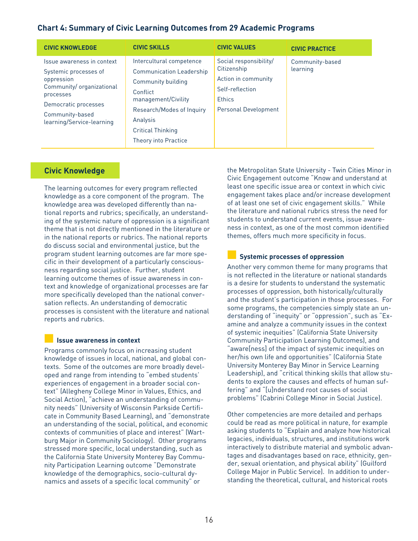#### **Chart 4: Summary of Civic Learning Outcomes from 29 Academic Programs**

| <b>CIVIC KNOWLEDGE</b>                                                                                                                                                             | <b>CIVIC SKILLS</b>                                                                                                                                                                                               | <b>CIVIC VALUES</b>                                                                                                             | <b>CIVIC PRACTICE</b>       |
|------------------------------------------------------------------------------------------------------------------------------------------------------------------------------------|-------------------------------------------------------------------------------------------------------------------------------------------------------------------------------------------------------------------|---------------------------------------------------------------------------------------------------------------------------------|-----------------------------|
| Issue awareness in context<br>Systemic processes of<br>oppression<br>Community/organizational<br>processes<br>Democratic processes<br>Community-based<br>learning/Service-learning | Intercultural competence<br><b>Communication Leadership</b><br>Community building<br>Conflict<br>management/Civility<br>Research/Modes of Inquiry<br>Analysis<br><b>Critical Thinking</b><br>Theory into Practice | Social responsibility/<br>Citizenship<br>Action in community<br>Self-reflection<br><b>Ethics</b><br><b>Personal Development</b> | Community-based<br>learning |

#### **Civic Knowledge**

The learning outcomes for every program reflected knowledge as a core component of the program. The knowledge area was developed differently than national reports and rubrics; specifically, an understanding of the systemic nature of oppression is a significant theme that is not directly mentioned in the literature or in the national reports or rubrics. The national reports do discuss social and environmental justice, but the program student learning outcomes are far more specific in their development of a particularly consciousness regarding social justice. Further, student learning outcome themes of issue awareness in context and knowledge of organizational processes are far more specifically developed than the national conversation reflects. An understanding of democratic processes is consistent with the literature and national reports and rubrics.

#### **■ Issue awareness in context**

Programs commonly focus on increasing student knowledge of issues in local, national, and global contexts. Some of the outcomes are more broadly developed and range from intending to "embed students' experiences of engagement in a broader social context" (Allegheny College Minor in Values, Ethics, and Social Action), "achieve an understanding of community needs" (University of Wisconsin Parkside Certificate in Community Based Learning), and "demonstrate an understanding of the social, political, and economic contexts of communities of place and interest" (Wartburg Major in Community Sociology). Other programs stressed more specific, local understanding, such as the California State University Monterey Bay Community Participation Learning outcome "Demonstrate knowledge of the demographics, socio-cultural dynamics and assets of a specific local community" or

the Metropolitan State University - Twin Cities Minor in Civic Engagement outcome "Know and understand at least one specific issue area or context in which civic engagement takes place and/or increase development of at least one set of civic engagement skills." While the literature and national rubrics stress the need for students to understand current events, issue awareness in context, as one of the most common identified themes, offers much more specificity in focus.

#### **■ Systemic processes of oppression**

Another very common theme for many programs that is not reflected in the literature or national standards is a desire for students to understand the systematic processes of oppression, both historically/culturally and the student's participation in those processes. For some programs, the competencies simply state an understanding of "inequity" or "oppression", such as "Examine and analyze a community issues in the context of systemic inequities" (California State University Community Participation Learning Outcomes), and "aware[ness] of the impact of systemic inequities on her/his own life and opportunities" (California State University Monterey Bay Minor in Service Learning Leadership), and "critical thinking skills that allow students to explore the causes and effects of human suffering" and "[u]nderstand root causes of social problems" (Cabrini College Minor in Social Justice).

Other competencies are more detailed and perhaps could be read as more political in nature, for example asking students to "Explain and analyze how historical legacies, individuals, structures, and institutions work interactively to distribute material and symbolic advantages and disadvantages based on race, ethnicity, gender, sexual orientation, and physical ability" (Guilford College Major in Public Service). In addition to understanding the theoretical, cultural, and historical roots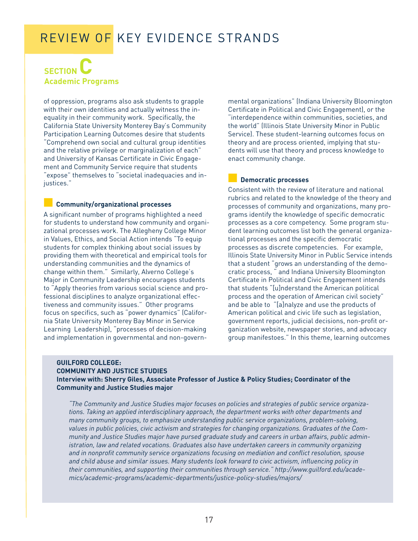### **SECTION Academic Programs**

of oppression, programs also ask students to grapple with their own identities and actually witness the inequality in their community work. Specifically, the California State University Monterey Bay's Community Participation Learning Outcomes desire that students "Comprehend own social and cultural group identities and the relative privilege or marginalization of each" and University of Kansas Certificate in Civic Engagement and Community Service require that students "expose" themselves to "societal inadequacies and injustices."

#### **■ Community/organizational processes**

A significant number of programs highlighted a need for students to understand how community and organizational processes work. The Allegheny College Minor in Values, Ethics, and Social Action intends "To equip students for complex thinking about social issues by providing them with theoretical and empirical tools for understanding communities and the dynamics of change within them." Similarly, Alverno College's Major in Community Leadership encourages students to "Apply theories from various social science and professional disciplines to analyze organizational effectiveness and community issues." Other programs focus on specifics, such as "power dynamics" (California State University Monterey Bay Minor in Service Learning Leadership), "processes of decision-making and implementation in governmental and non-govern-

mental organizations" (Indiana University Bloomington Certificate in Political and Civic Engagement), or the "interdependence within communities, societies, and the world" (Illinois State University Minor in Public Service). These student-learning outcomes focus on theory and are process oriented, implying that students will use that theory and process knowledge to enact community change.

#### **■ Democratic processes**

Consistent with the review of literature and national rubrics and related to the knowledge of the theory and processes of community and organizations, many programs identify the knowledge of specific democratic processes as a core competency. Some program student learning outcomes list both the general organizational processes and the specific democratic processes as discrete competencies. For example, Illinois State University Minor in Public Service intends that a student "grows an understanding of the democratic process, " and Indiana University Bloomington Certificate in Political and Civic Engagement intends that students "[u]nderstand the American political process and the operation of American civil society" and be able to "[a]nalyze and use the products of American political and civic life such as legislation, government reports, judicial decisions, non-profit organization website, newspaper stories, and advocacy group manifestoes." In this theme, learning outcomes

#### **GUILFORD COLLEGE: COMMUNITY AND JUSTICE STUDIES Interview with: Sherry Giles, Associate Professor of Justice & Policy Studies; Coordinator of the Community and Justice Studies major**

*"The Community and Justice Studies major focuses on policies and strategies of public service organizations. Taking an applied interdisciplinary approach, the department works with other departments and many community groups, to emphasize understanding public service organizations, problem-solving, values in public policies, civic activism and strategies for changing organizations. Graduates of the Community and Justice Studies major have pursed graduate study and careers in urban affairs, public administration, law and related vocations. Graduates also have undertaken careers in community organizing and in nonprofit community service organizations focusing on mediation and conflict resolution, spouse and child abuse and similar issues. Many students look forward to civic activism, influencing policy in their communities, and supporting their communities through service." http://www.guilford.edu/academics/academic-programs/academic-departments/justice-policy-studies/majors/*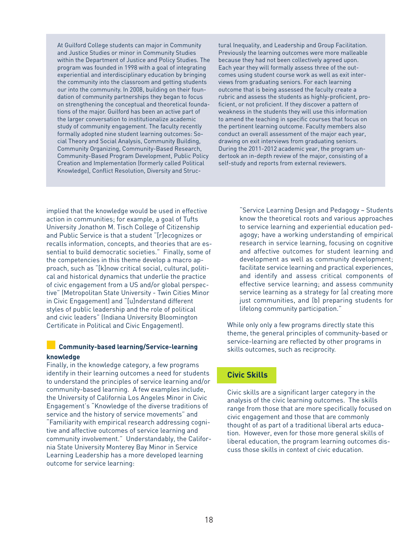At Guilford College students can major in Community and Justice Studies or minor in Community Studies within the Department of Justice and Policy Studies. The program was founded in 1998 with a goal of integrating experiential and interdisciplinary education by bringing the community into the classroom and getting students our into the community. In 2008, building on their foundation of community partnerships they began to focus on strengthening the conceptual and theoretical foundations of the major. Guilford has been an active part of the larger conversation to institutionalize academic study of community engagement. The faculty recently formally adopted nine student learning outcomes: Social Theory and Social Analysis, Community Building, Community Organizing, Community-Based Research, Community-Based Program Development, Public Policy Creation and Implementation (formerly called Political Knowledge), Conflict Resolution, Diversity and Struc-

tural Inequality, and Leadership and Group Facilitation. Previously the learning outcomes were more malleable because they had not been collectively agreed upon. Each year they will formally assess three of the outcomes using student course work as well as exit interviews from graduating seniors. For each learning outcome that is being assessed the faculty create a rubric and assess the students as highly-proficient, proficient, or not proficient. If they discover a pattern of weakness in the students they will use this information to amend the teaching in specific courses that focus on the pertinent learning outcome. Faculty members also conduct an overall assessment of the major each year, drawing on exit interviews from graduating seniors. During the 2011-2012 academic year, the program undertook an in-depth review of the major, consisting of a self-study and reports from external reviewers.

implied that the knowledge would be used in effective action in communities; for example, a goal of Tufts University Jonathon M. Tisch College of Citizenship and Public Service is that a student "[r]ecognizes or recalls information, concepts, and theories that are essential to build democratic societies." Finally, some of the competencies in this theme develop a macro approach, such as "[k]now critical social, cultural, political and historical dynamics that underlie the practice of civic engagement from a US and/or global perspective" (Metropolitan State University - Twin Cities Minor in Civic Engagement) and "[u]nderstand different styles of public leadership and the role of political and civic leaders" (Indiana University Bloomington Certificate in Political and Civic Engagement).

#### **■ Community-based learning/Service-learning knowledge**

Finally, in the knowledge category, a few programs identify in their learning outcomes a need for students to understand the principles of service learning and/or community-based learning. A few examples include, the University of California Los Angeles Minor in Civic Engagement's "Knowledge of the diverse traditions of service and the history of service movements" and "Familiarity with empirical research addressing cognitive and affective outcomes of service learning and community involvement." Understandably, the California State University Monterey Bay Minor in Service Learning Leadership has a more developed learning outcome for service learning:

"Service Learning Design and Pedagogy ~ Students know the theoretical roots and various approaches to service learning and experiential education pedagogy; have a working understanding of empirical research in service learning, focusing on cognitive and affective outcomes for student learning and development as well as community development; facilitate service learning and practical experiences, and identify and assess critical components of effective service learning; and assess community service learning as a strategy for (a) creating more just communities, and (b) preparing students for lifelong community participation."

While only only a few programs directly state this theme, the general principles of community-based or service-learning are reflected by other programs in skills outcomes, such as reciprocity.

#### **Civic Skills**

Civic skills are a significant larger category in the analysis of the civic learning outcomes. The skills range from those that are more specifically focused on civic engagement and those that are commonly thought of as part of a traditional liberal arts education. However, even for those more general skills of liberal education, the program learning outcomes discuss those skills in context of civic education.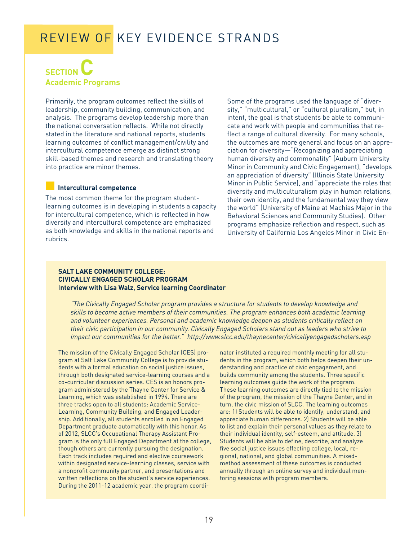### **SECTION Academic Programs**

Primarily, the program outcomes reflect the skills of leadership, community building, communication, and analysis. The programs develop leadership more than the national conversation reflects. While not directly stated in the literature and national reports, students learning outcomes of conflict management/civility and intercultural competence emerge as distinct strong skill-based themes and research and translating theory into practice are minor themes.

#### **■ Intercultural competence**

The most common theme for the program studentlearning outcomes is in developing in students a capacity for intercultural competence, which is reflected in how diversity and intercultural competence are emphasized as both knowledge and skills in the national reports and rubrics.

#### Some of the programs used the language of "diversity," "multicultural," or "cultural pluralism," but, in intent, the goal is that students be able to communicate and work with people and communities that reflect a range of cultural diversity. For many schools, the outcomes are more general and focus on an appreciation for diversity—"Recognizing and appreciating human diversity and commonality" (Auburn University Minor in Community and Civic Engagement), "develops an appreciation of diversity" (Illinois State University Minor in Public Service), and "appreciate the roles that diversity and multiculturalism play in human relations, their own identity, and the fundamental way they view the world" (University of Maine at Machias Major in the Behavioral Sciences and Community Studies). Other programs emphasize reflection and respect, such as University of California Los Angeles Minor in Civic En-

#### **SALT LAKE COMMUNITY COLLEGE: CIVICALLY ENGAGED SCHOLAR PROGRAM** I**nterview with Lisa Walz, Service learning Coordinator**

*"The Civically Engaged Scholar program provides a structure for students to develop knowledge and skills to become active members of their communities. The program enhances both academic learning and volunteer experiences. Personal and academic knowledge deepen as students critically reflect on their civic participation in our community. Civically Engaged Scholars stand out as leaders who strive to impact our communities for the better." http://www.slcc.edu/thaynecenter/civicallyengagedscholars.asp*

The mission of the Civically Engaged Scholar (CES) program at Salt Lake Community College is to provide students with a formal education on social justice issues, through both designated service-learning courses and a co-curricular discussion series. CES is an honors program administered by the Thayne Center for Service & Learning, which was established in 1994. There are three tracks open to all students: Academic Service-Learning, Community Building, and Engaged Leadership. Additionally, all students enrolled in an Engaged Department graduate automatically with this honor. As of 2012, SLCC's Occupational Therapy Assistant Program is the only full Engaged Department at the college, though others are currently pursuing the designation. Each track includes required and elective coursework within designated service-learning classes, service with a nonprofit community partner, and presentations and written reflections on the student's service experiences. During the 2011-12 academic year, the program coordi-

nator instituted a required monthly meeting for all students in the program, which both helps deepen their understanding and practice of civic engagement, and builds community among the students. Three specific learning outcomes guide the work of the program. These learning outcomes are directly tied to the mission of the program, the mission of the Thayne Center, and in turn, the civic mission of SLCC. The learning outcomes are: 1) Students will be able to identify, understand, and appreciate human differences. 2) Students will be able to list and explain their personal values as they relate to their individual identity, self-esteem, and attitude. 3) Students will be able to define, describe, and analyze five social justice issues effecting college, local, regional, national, and global communities. A mixedmethod assessment of these outcomes is conducted annually through an online survey and individual mentoring sessions with program members.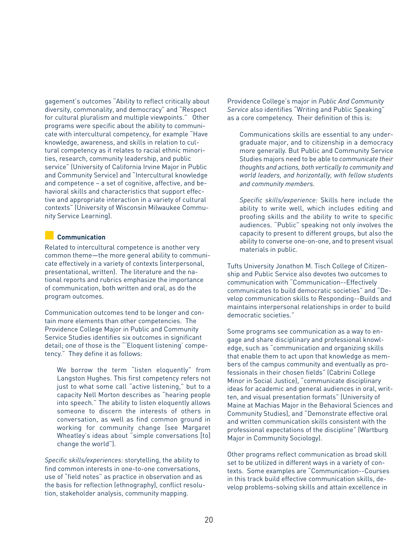gagement's outcomes "Ability to reflect critically about diversity, commonality, and democracy" and "Respect for cultural pluralism and multiple viewpoints." Other programs were specific about the ability to communicate with intercultural competency, for example "Have knowledge, awareness, and skills in relation to cultural competency as it relates to racial ethnic minorities, research, community leadership, and public service" (University of California Irvine Major in Public and Community Service) and "Intercultural knowledge and competence – a set of cognitive, affective, and behavioral skills and characteristics that support effective and appropriate interaction in a variety of cultural contexts" (University of Wisconsin Milwaukee Community Service Learning).

#### **■ Communication**

Related to intercultural competence is another very common theme—the more general ability to communicate effectively in a variety of contexts (interpersonal, presentational, written). The literature and the national reports and rubrics emphasize the importance of communication, both written and oral, as do the program outcomes.

Communication outcomes tend to be longer and contain more elements than other competencies. The Providence College Major in Public and Community Service Studies identifies six outcomes in significant detail; one of those is the "'Eloquent listening' competency." They define it as follows:

We borrow the term "listen eloquently" from Langston Hughes. This first competency refers not just to what some call "active listening," but to a capacity Nell Morton describes as "hearing people into speech." The ability to listen eloquently allows someone to discern the interests of others in conversation, as well as find common ground in working for community change (see Margaret Wheatley's ideas about "simple conversations [to] change the world").

*Specific skills/experiences:* storytelling, the ability to find common interests in one-to-one conversations, use of "field notes" as practice in observation and as the basis for reflection (ethnography), conflict resolution, stakeholder analysis, community mapping.

Providence College's major in *Public And Community Service* also identifies "Writing and Public Speaking" as a core competency. Their definition of this is:

Communications skills are essential to any undergraduate major, and to citizenship in a democracy more generally. But Public and Community Service Studies majors need to be able to *communicate their thoughts and actions, both vertically to community and world leaders, and horizontally, with fellow students and community members.*

*Specific skills/experience:* Skills here include the ability to write well, which includes editing and proofing skills and the ability to write to specific audiences. "Public" speaking not only involves the capacity to present to different groups, but also the ability to converse one-on-one, and to present visual materials in public.

Tufts University Jonathon M. Tisch College of Citizenship and Public Service also devotes two outcomes to communication with "Communication--Effectively communicates to build democratic societies" and "Develop communication skills to Responding--Builds and maintains interpersonal relationships in order to build democratic societies."

Some programs see communication as a way to engage and share disciplinary and professional knowledge, such as "communication and organizing skills that enable them to act upon that knowledge as members of the campus community and eventually as professionals in their chosen fields" (Cabrini College Minor in Social Justice), "communicate disciplinary ideas for academic and general audiences in oral, written, and visual presentation formats" (University of Maine at Machias Major in the Behavioral Sciences and Community Studies), and "Demonstrate effective oral and written communication skills consistent with the professional expectations of the discipline" (Wartburg Major in Community Sociology).

Other programs reflect communication as broad skill set to be utilized in different ways in a variety of contexts. Some examples are "Communication--Courses in this track build effective communication skills, develop problems-solving skills and attain excellence in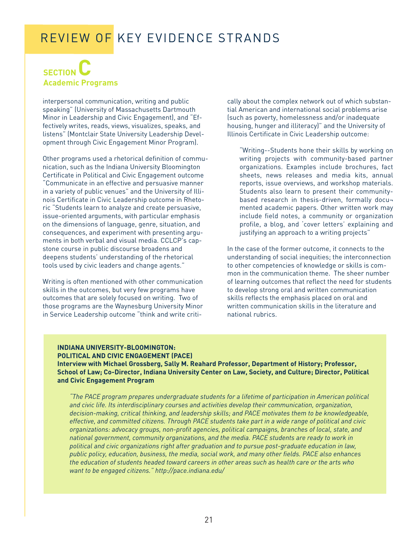### **SECTION Academic Programs**

interpersonal communication, writing and public speaking" (University of Massachusetts Dartmouth Minor in Leadership and Civic Engagement), and "Effectively writes, reads, views, visualizes, speaks, and listens" (Montclair State University Leadership Development through Civic Engagement Minor Program).

Other programs used a rhetorical definition of communication, such as the Indiana University Bloomington Certificate in Political and Civic Engagement outcome "Communicate in an effective and persuasive manner in a variety of public venues" and the University of Illinois Certificate in Civic Leadership outcome in Rhetoric "Students learn to analyze and create persuasive, issue-oriented arguments, with particular emphasis on the dimensions of language, genre, situation, and consequences, and experiment with presenting arguments in both verbal and visual media. CCLCP's capstone course in public discourse broadens and deepens students' understanding of the rhetorical tools used by civic leaders and change agents."

Writing is often mentioned with other communication skills in the outcomes, but very few programs have outcomes that are solely focused on writing. Two of those programs are the Waynesburg University Minor in Service Leadership outcome "think and write critically about the complex network out of which substantial American and international social problems arise (such as poverty, homelessness and/or inadequate housing, hunger and illiteracy)" and the University of Illinois Certificate in Civic Leadership outcome:

"Writing--Students hone their skills by working on writing projects with community-based partner organizations. Examples include brochures, fact sheets, news releases and media kits, annual reports, issue overviews, and workshop materials. Students also learn to present their communitybased research in thesis-driven, formally docu mented academic papers. Other written work may include field notes, a community or organization profile, a blog, and 'cover letters' explaining and justifying an approach to a writing projects"

In the case of the former outcome, it connects to the understanding of social inequities; the interconnection to other competencies of knowledge or skills is common in the communication theme. The sheer number of learning outcomes that reflect the need for students to develop strong oral and written communication skills reflects the emphasis placed on oral and written communication skills in the literature and national rubrics.

#### **INDIANA UNIVERSITY-BLOOMINGTON: POLITICAL AND CIVIC ENGAGEMENT (PACE) Interview with Michael Grossberg, Sally M. Reahard Professor, Department of History; Professor, School of Law; Co-Director, Indiana University Center on Law, Society, and Culture; Director, Political and Civic Engagement Program**

*"The PACE program prepares undergraduate students for a lifetime of participation in American political and civic life. Its interdisciplinary courses and activities develop their communication, organization, decision-making, critical thinking, and leadership skills; and PACE motivates them to be knowledgeable, effective, and committed citizens. Through PACE students take part in a wide range of political and civic organizations: advocacy groups, non-profit agencies, political campaigns, branches of local, state, and national government, community organizations, and the media. PACE students are ready to work in political and civic organizations right after graduation and to pursue post-graduate education in law, public policy, education, business, the media, social work, and many other fields. PACE also enhances the education of students headed toward careers in other areas such as health care or the arts who want to be engaged citizens." http://pace.indiana.edu/*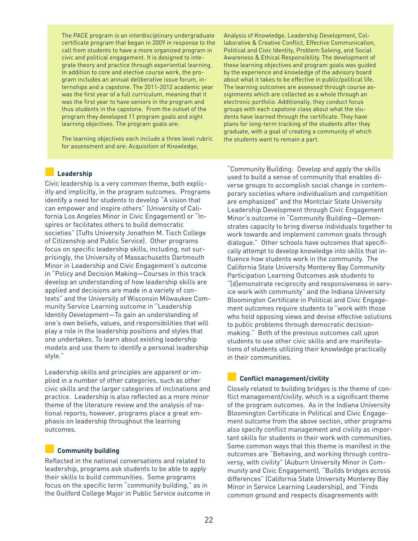The PACE program is an interdisciplinary undergraduate certificate program that began in 2009 in response to the call from students to have a more organized program in civic and political engagement. It is designed to integrate theory and practice through experiential learning. In addition to core and elective course work, the program includes an annual deliberative issue forum, internships and a capstone. The 2011-2012 academic year was the first year of a full curriculum, meaning that it was the first year to have seniors in the program and thus students in the capstone. From the outset of the program they developed 11 program goals and eight learning objectives. The program goals are:

The learning objectives each include a three level rubric for assessment and are: Acquisition of Knowledge,

Analysis of Knowledge, Leadership Development, Collaborative & Creative Conflict, Effective Communication, Political and Civic Identity, Problem Solving, and Social Awareness & Ethical Responsibility. The development of these learning objectives and program goals was guided by the experience and knowledge of the advisory board about what it takes to be effective in public/political life. The learning outcomes are assessed through course assignments which are collected as a whole through an electronic portfolio. Additionally, they conduct focus groups with each capstone class about what the students have learned through the certificate. They have plans for long-term tracking of the students after they graduate, with a goal of creating a community of which the students want to remain a part.

#### **■ Leadership**

Civic leadership is a very common theme, both explicitly and implicitly, in the program outcomes. Programs identify a need for students to develop "A vision that can empower and inspire others" (University of California Los Angeles Minor in Civic Engagement) or "Inspires or facilitates others to build democratic societies" (Tufts University Jonathon M. Tisch College of Citizenship and Public Service). Other programs focus on specific leadership skills, including, not surprisingly, the University of Massachusetts Dartmouth Minor in Leadership and Civic Engagement's outcome in "Policy and Decision Making—Courses in this track develop an understanding of how leadership skills are applied and decisions are made in a variety of contexts" and the University of Wisconsin Milwaukee Community Service Learning outcome in "Leadership Identity Development—To gain an understanding of one's own beliefs, values, and responsibilities that will play a role in the leadership positions and styles that one undertakes. To learn about existing leadership models and use them to identify a personal leadership style."

Leadership skills and principles are apparent or implied in a number of other categories, such as other civic skills and the larger categories of inclinations and practice. Leadership is also reflected as a more minor theme of the literature review and the analysis of national reports; however, programs place a great emphasis on leadership throughout the learning outcomes.

#### **■ Community building**

Reflected in the national conversations and related to leadership, programs ask students to be able to apply their skills to build communities. Some programs focus on the specific term "community building," as in the Guilford College Major in Public Service outcome in

"Community Building: Develop and apply the skills used to build a sense of community that enables diverse groups to accomplish social change in contemporary societies where individualism and competition are emphasized" and the Montclair State University Leadership Development through Civic Engagement Minor's outcome in "Community Building—Demonstrates capacity to bring diverse individuals together to work towards and implement common goals through dialogue." Other schools have outcomes that specifically attempt to develop knowledge into skills that influence how students work in the community. The California State University Monterey Bay Community Participation Learning Outcomes ask students to "[d]emonstrate reciprocity and responsiveness in service work with community" and the Indiana University Bloomington Certificate in Political and Civic Engagement outcomes require students to "work with those who hold opposing views and devise effective solutions to public problems through democratic decisionmaking." Both of the previous outcomes call upon students to use other civic skills and are manifestations of students utilizing their knowledge practically in their communities.

#### **■ Conflict management/civility**

Closely related to building bridges is the theme of conflict management/civility, which is a significant theme of the program outcomes. As in the Indiana University Bloomington Certificate in Political and Civic Engagement outcome from the above section, other programs also specify conflict management and civility as important skills for students in their work with communities. Some common ways that this theme is manifest in the outcomes are "Behaving, and working through controversy, with civility" (Auburn University Minor in Community and Civic Engagement), "Builds bridges across differences" (California State University Monterey Bay Minor in Service Learning Leadership), and "Finds common ground and respects disagreements with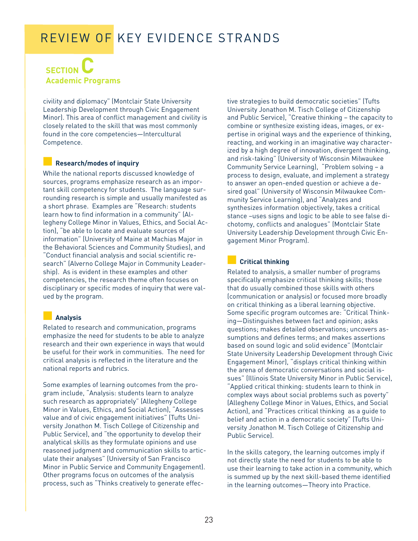### **SECTION Academic Programs**

civility and diplomacy" (Montclair State University Leadership Development through Civic Engagement Minor). This area of conflict management and civility is closely related to the skill that was most commonly found in the core competencies—Intercultural Competence.

#### **■ Research/modes of inquiry**

While the national reports discussed knowledge of sources, programs emphasize research as an important skill competency for students. The language surrounding research is simple and usually manifested as a short phrase. Examples are "Research: students learn how to find information in a community" (Allegheny College Minor in Values, Ethics, and Social Action), "be able to locate and evaluate sources of information" (University of Maine at Machias Major in the Behavioral Sciences and Community Studies), and "Conduct financial analysis and social scientific research" (Alverno College Major in Community Leadership). As is evident in these examples and other competencies, the research theme often focuses on disciplinary or specific modes of inquiry that were valued by the program.

#### **■ Analysis**

Related to research and communication, programs emphasize the need for students to be able to analyze research and their own experience in ways that would be useful for their work in communities. The need for critical analysis is reflected in the literature and the national reports and rubrics.

Some examples of learning outcomes from the program include, "Analysis: students learn to analyze such research as appropriately" (Allegheny College Minor in Values, Ethics, and Social Action), "Assesses value and of civic engagement initiatives" (Tufts University Jonathon M. Tisch College of Citizenship and Public Service), and "the opportunity to develop their analytical skills as they formulate opinions and use reasoned judgment and communication skills to articulate their analyses" (University of San Francisco Minor in Public Service and Community Engagement). Other programs focus on outcomes of the analysis process, such as "Thinks creatively to generate effective strategies to build democratic societies" (Tufts University Jonathon M. Tisch College of Citizenship and Public Service), "Creative thinking – the capacity to combine or synthesize existing ideas, images, or expertise in original ways and the experience of thinking, reacting, and working in an imaginative way characterized by a high degree of innovation, divergent thinking, and risk-taking" (University of Wisconsin Milwaukee Community Service Learning), "Problem solving – a process to design, evaluate, and implement a strategy to answer an open-ended question or achieve a desired goal" (University of Wisconsin Milwaukee Community Service Learning), and "Analyzes and synthesizes information objectively, takes a critical stance –uses signs and logic to be able to see false dichotomy, conflicts and analogues" (Montclair State University Leadership Development through Civic Engagement Minor Program).

#### **■ Critical thinking**

Related to analysis, a smaller number of programs specifically emphasize critical thinking skills; those that do usually combined those skills with others (communication or analysis) or focused more broadly on critical thinking as a liberal learning objective. Some specific program outcomes are: "Critical Thinking—Distinguishes between fact and opinion; asks questions; makes detailed observations; uncovers assumptions and defines terms; and makes assertions based on sound logic and solid evidence" (Montclair State University Leadership Development through Civic Engagement Minor), "displays critical thinking within the arena of democratic conversations and social issues" (Illinois State University Minor in Public Service), "Applied critical thinking: students learn to think in complex ways about social problems such as poverty" (Allegheny College Minor in Values, Ethics, and Social Action), and "Practices critical thinking as a guide to belief and action in a democratic society" (Tufts University Jonathon M. Tisch College of Citizenship and Public Service).

In the skills category, the learning outcomes imply if not directly state the need for students to be able to use their learning to take action in a community, which is summed up by the next skill-based theme identified in the learning outcomes—Theory into Practice.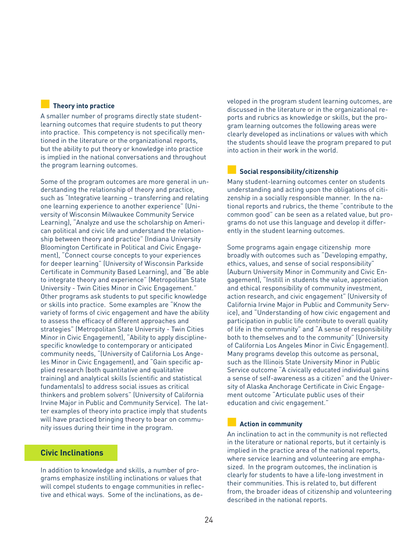#### **■ Theory into practice**

A smaller number of programs directly state studentlearning outcomes that require students to put theory into practice. This competency is not specifically mentioned in the literature or the organizational reports, but the ability to put theory or knowledge into practice is implied in the national conversations and throughout the program learning outcomes.

Some of the program outcomes are more general in understanding the relationship of theory and practice, such as "Integrative learning – transferring and relating one learning experience to another experience" (University of Wisconsin Milwaukee Community Service Learning), "Analyze and use the scholarship on American political and civic life and understand the relationship between theory and practice" (Indiana University Bloomington Certificate in Political and Civic Engagement), "Connect course concepts to your experiences for deeper learning" (University of Wisconsin Parkside Certificate in Community Based Learning), and "Be able to integrate theory and experience" (Metropolitan State University - Twin Cities Minor in Civic Engagement." Other programs ask students to put specific knowledge or skills into practice. Some examples are "Know the variety of forms of civic engagement and have the ability to assess the efficacy of different approaches and strategies" (Metropolitan State University - Twin Cities Minor in Civic Engagement), "Ability to apply disciplinespecific knowledge to contemporary or anticipated community needs, "(University of California Los Angeles Minor in Civic Engagement), and "Gain specific applied research (both quantitative and qualitative training) and analytical skills (scientific and statistical fundamentals) to address social issues as critical thinkers and problem solvers" (University of California Irvine Major in Public and Community Service). The latter examples of theory into practice imply that students will have practiced bringing theory to bear on community issues during their time in the program.

#### **Civic Inclinations**

In addition to knowledge and skills, a number of programs emphasize instilling inclinations or values that will compel students to engage communities in reflective and ethical ways. Some of the inclinations, as developed in the program student learning outcomes, are discussed in the literature or in the organizational reports and rubrics as knowledge or skills, but the program learning outcomes the following areas were clearly developed as inclinations or values with which the students should leave the program prepared to put into action in their work in the world.

#### **■ Social responsibility/citizenship**

Many student-learning outcomes center on students understanding and acting upon the obligations of citizenship in a socially responsible manner. In the national reports and rubrics, the theme "contribute to the common good" can be seen as a related value, but programs do not use this language and develop it differently in the student learning outcomes.

Some programs again engage citizenship more broadly with outcomes such as "Developing empathy, ethics, values, and sense of social responsibility" (Auburn University Minor in Community and Civic Engagement), "Instill in students the value, appreciation and ethical responsibility of community investment, action research, and civic engagement" (University of California Irvine Major in Public and Community Service), and "Understanding of how civic engagement and participation in public life contribute to overall quality of life in the community" and "A sense of responsibility both to themselves and to the community" (University of California Los Angeles Minor in Civic Engagement). Many programs develop this outcome as personal, such as the Illinois State University Minor in Public Service outcome "A civically educated individual gains a sense of self-awareness as a citizen" and the University of Alaska Anchorage Certificate in Civic Engagement outcome "Articulate public uses of their education and civic engagement."

#### **■ Action in community**

An inclination to act in the community is not reflected in the literature or national reports, but it certainly is implied in the practice area of the national reports, where service learning and volunteering are emphasized. In the program outcomes, the inclination is clearly for students to have a life-long investment in their communities. This is related to, but different from, the broader ideas of citizenship and volunteering described in the national reports.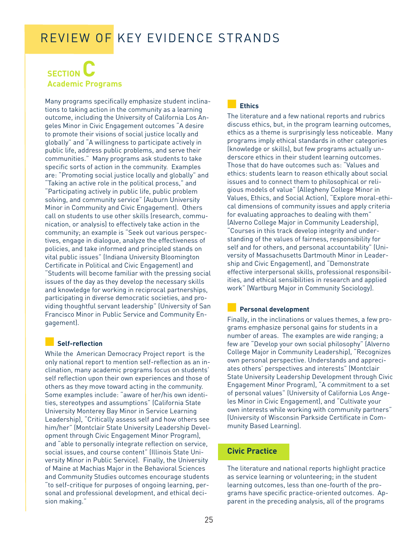### **SECTION Academic Programs**

Many programs specifically emphasize student inclinations to taking action in the community as a learning outcome, including the University of California Los Angeles Minor in Civic Engagement outcomes "A desire to promote their visions of social justice locally and globally" and "A willingness to participate actively in public life, address public problems, and serve their communities." Many programs ask students to take specific sorts of action in the community. Examples are: "Promoting social justice locally and globally" and "Taking an active role in the political process," and "Participating actively in public life, public problem solving, and community service" (Auburn University Minor in Community and Civic Engagement). Others call on students to use other skills (research, communication, or analysis) to effectively take action in the community; an example is "Seek out various perspectives, engage in dialogue, analyze the effectiveness of policies, and take informed and principled stands on vital public issues" (Indiana University Bloomington Certificate in Political and Civic Engagement) and "Students will become familiar with the pressing social issues of the day as they develop the necessary skills and knowledge for working in reciprocal partnerships, participating in diverse democratic societies, and providing thoughtful servant leadership" (University of San Francisco Minor in Public Service and Community Engagement).

#### **■ Self-reflection**

While the American Democracy Project report is the only national report to mention self-reflection as an inclination, many academic programs focus on students' self reflection upon their own experiences and those of others as they move toward acting in the community. Some examples include: "aware of her/his own identities, stereotypes and assumptions" (California State University Monterey Bay Minor in Service Learning Leadership), "Critically assess self and how others see him/her" (Montclair State University Leadership Development through Civic Engagement Minor Program), and "able to personally integrate reflection on service, social issues, and course content" (Illinois State University Minor in Public Service). Finally, the University of Maine at Machias Major in the Behavioral Sciences and Community Studies outcomes encourage students "to self-critique for purposes of ongoing learning, personal and professional development, and ethical decision making."

#### **■ Ethics**

The literature and a few national reports and rubrics discuss ethics, but, in the program learning outcomes, ethics as a theme is surprisingly less noticeable. Many programs imply ethical standards in other categories (knowledge or skills), but few programs actually underscore ethics in their student learning outcomes. Those that do have outcomes such as: "Values and ethics: students learn to reason ethically about social issues and to connect them to philosophical or religious models of value" (Allegheny College Minor in Values, Ethics, and Social Action), "Explore moral-ethical dimensions of community issues and apply criteria for evaluating approaches to dealing with them" (Alverno College Major in Community Leadership), "Courses in this track develop integrity and understanding of the values of fairness, responsibility for self and for others, and personal accountability" (University of Massachusetts Dartmouth Minor in Leadership and Civic Engagement), and "Demonstrate effective interpersonal skills, professional responsibilities, and ethical sensibilities in research and applied work" (Wartburg Major in Community Sociology).

#### **■ Personal development**

Finally, in the inclinations or values themes, a few programs emphasize personal gains for students in a number of areas. The examples are wide ranging; a few are "Develop your own social philosophy" (Alverno College Major in Community Leadership), "Recognizes own personal perspective. Understands and appreciates others' perspectives and interests" (Montclair State University Leadership Development through Civic Engagement Minor Program), "A commitment to a set of personal values" (University of California Los Angeles Minor in Civic Engagement), and "Cultivate your own interests while working with community partners" (University of Wisconsin Parkside Certificate in Community Based Learning).

#### **Civic Practice**

The literature and national reports highlight practice as service learning or volunteering; in the student learning outcomes, less than one-fourth of the programs have specific practice-oriented outcomes. Apparent in the preceding analysis, all of the programs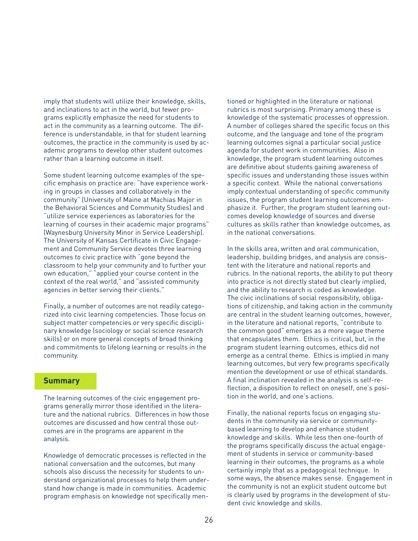imply that students will utilize their knowledge, skills, and inclinations to act in the world, but fewer programs explicitly emphasize the need for students to act in the community as a learning outcome. The difference is understandable, in that for student learning outcomes, the practice in the community is used by academic programs to develop other student outcomes rather than a learning outcome in itself.

Some student learning outcome examples of the specific emphasis on practice are: "have experience working in groups in classes and collaboratively in the community" (University of Maine at Machias Major in the Behavioral Sciences and Community Studies) and "utilize service experiences as laboratories for the learning of courses in their academic major programs" (Waynesburg University Minor in Service Leadership). The University of Kansas Certificate in Civic Engagement and Community Service devotes three learning outcomes to civic practice with "gone beyond the classroom to help your community and to further your own education," "applied your course content in the context of the real world," and "assisted community agencies in better serving their clients."

Finally, a number of outcomes are not readily categorized into civic learning competencies. Those focus on subject matter competencies or very specific disciplinary knowledge (sociology or social science research skills) or on more general concepts of broad thinking and commitments to lifelong learning or results in the community.

#### **Summary**

The learning outcomes of the civic engagement programs generally mirror those identified in the literature and the national rubrics. Differences in how those outcomes are discussed and how central those outcomes are in the programs are apparent in the analysis.

Knowledge of democratic processes is reflected in the national conversation and the outcomes, but many schools also discuss the necessity for students to understand organizational processes to help them understand how change is made in communities. Academic program emphasis on knowledge not specifically mentioned or highlighted in the literature or national rubrics is most surprising. Primary among these is knowledge of the systematic processes of oppression. A number of colleges shared the specific focus on this outcome, and the language and tone of the program learning outcomes signal a particular social justice agenda for student work in communities. Also in knowledge, the program student learning outcomes are definitive about students gaining awareness of specific issues and understanding those issues within a specific context. While the national conversations imply contextual understanding of specific community issues, the program student learning outcomes emphasize it. Further, the program student learning outcomes develop knowledge of sources and diverse cultures as skills rather than knowledge outcomes, as in the national conversations.

In the skills area, written and oral communication, leadership, building bridges, and analysis are consistent with the literature and national reports and rubrics. In the national reports, the ability to put theory into practice is not directly stated but clearly implied, and the ability to research is coded as knowledge. The civic inclinations of social responsibility, obligations of citizenship, and taking action in the community are central in the student learning outcomes, however, in the literature and national reports, "contribute to the common good" emerges as a more vague theme that encapsulates them. Ethics is critical, but, in the program student learning outcomes, ethics did not emerge as a central theme. Ethics is implied in many learning outcomes, but very few programs specifically mention the development or use of ethical standards. A final inclination revealed in the analysis is self-reflection, a disposition to reflect on oneself, one's position in the world, and one's actions.

Finally, the national reports focus on engaging students in the community via service or communitybased learning to develop and enhance student knowledge and skills. While less then one-fourth of the programs specifically discuss the actual engagement of students in service or community-based learning in their outcomes, the programs as a whole certainly imply that as a pedagogical technique. In some ways, the absence makes sense. Engagement in the community is not an explicit student outcome but is clearly used by programs in the development of student civic knowledge and skills.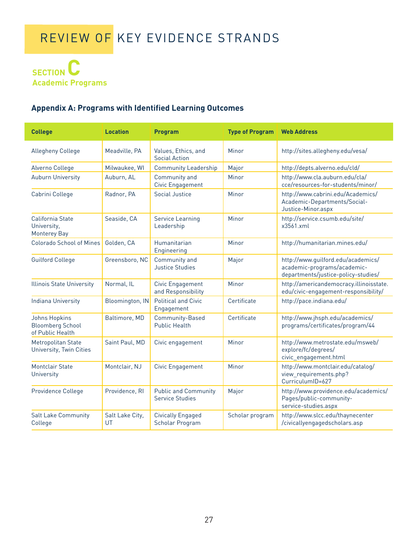

### **Appendix A: Programs with Identified Learning Outcomes**

| <b>College</b>                                                      | <b>Location</b>       | <b>Program</b>                                 | <b>Type of Program</b> | <b>Web Address</b>                                                                                       |
|---------------------------------------------------------------------|-----------------------|------------------------------------------------|------------------------|----------------------------------------------------------------------------------------------------------|
| <b>Allegheny College</b>                                            | Meadville, PA         | Values, Ethics, and<br><b>Social Action</b>    | Minor                  | http://sites.allegheny.edu/vesa/                                                                         |
| Alverno College                                                     | Milwaukee, WI         | <b>Community Leadership</b>                    | Major                  | http://depts.alverno.edu/cld/                                                                            |
| <b>Auburn University</b>                                            | Auburn, AL            | Community and<br>Civic Engagement              | Minor                  | http://www.cla.auburn.edu/cla/<br>cce/resources-for-students/minor/                                      |
| Cabrini College                                                     | Radnor, PA            | Social Justice                                 | Minor                  | http://www.cabrini.edu/Academics/<br>Academic-Departments/Social-<br>Justice-Minor.aspx                  |
| California State<br>University,<br><b>Monterey Bay</b>              | Seaside, CA           | <b>Service Learning</b><br>Leadership          | Minor                  | http://service.csumb.edu/site/<br>x3561.xml                                                              |
| Colorado School of Mines                                            | Golden, CA            | Humanitarian<br>Engineering                    | Minor                  | http://humanitarian.mines.edu/                                                                           |
| <b>Guilford College</b>                                             | Greensboro, NC        | Community and<br><b>Justice Studies</b>        | Major                  | http://www.guilford.edu/academics/<br>academic-programs/academic-<br>departments/justice-policy-studies/ |
| <b>Illinois State University</b>                                    | Normal, IL            | Civic Engagement<br>and Responsibility         | Minor                  | http://americandemocracy.illinoisstate.<br>edu/civic-engagement-responsibility/                          |
| <b>Indiana University</b>                                           | Bloomington, IN       | <b>Political and Civic</b><br>Engagement       | Certificate            | http://pace.indiana.edu/                                                                                 |
| <b>Johns Hopkins</b><br><b>Bloomberg School</b><br>of Public Health | Baltimore, MD         | Community-Based<br><b>Public Health</b>        | Certificate            | http://www.jhsph.edu/academics/<br>programs/certificates/program/44                                      |
| Metropolitan State<br>University, Twin Cities                       | Saint Paul, MD        | Civic engagement                               | Minor                  | http://www.metrostate.edu/msweb/<br>explore/fc/degrees/<br>civic_engagement.html                         |
| <b>Montclair State</b><br>University                                | Montclair, NJ         | <b>Civic Engagement</b>                        | Minor                  | http://www.montclair.edu/catalog/<br>view_requirements.php?<br>CurriculumID=627                          |
| Providence College                                                  | Providence, RI        | <b>Public and Community</b><br>Service Studies | Major                  | http://www.providence.edu/academics/<br>Pages/public-community-<br>service-studies.aspx                  |
| <b>Salt Lake Community</b><br>College                               | Salt Lake City,<br>UT | <b>Civically Engaged</b><br>Scholar Program    | Scholar program        | http://www.slcc.edu/thaynecenter<br>/civicallyengagedscholars.asp                                        |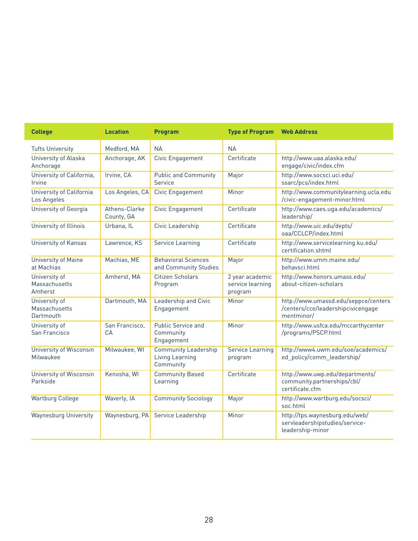| <b>College</b>                              | <b>Location</b>             | <b>Program</b>                                              | <b>Type of Program</b>                         | <b>Web Address</b>                                                                       |
|---------------------------------------------|-----------------------------|-------------------------------------------------------------|------------------------------------------------|------------------------------------------------------------------------------------------|
| <b>Tufts University</b>                     | Medford, MA                 | <b>NA</b>                                                   | <b>NA</b>                                      |                                                                                          |
| University of Alaska<br>Anchorage           | Anchorage, AK               | Civic Engagement                                            | Certificate                                    | http://www.uaa.alaska.edu/<br>engage/civic/index.cfm                                     |
| University of California,<br>Irvine         | Irvine, CA                  | <b>Public and Community</b><br>Service                      | Major                                          | http://www.socsci.uci.edu/<br>ssarc/pcs/index.html                                       |
| University of California<br>Los Angeles     | Los Angeles, CA             | Civic Engagement                                            | Minor                                          | http://www.communitylearning.ucla.edu<br>/civic-engagement-minor.html                    |
| University of Georgia                       | Athens-Clarke<br>County, GA | Civic Engagement                                            | Certificate                                    | http://www.caes.uga.edu/academics/<br>leadership/                                        |
| University of Illinois                      | Urbana, IL                  | Civic Leadership                                            | Certificate                                    | http://www.uic.edu/depts/<br>oaa/CCLCP/index.html                                        |
| University of Kansas                        | Lawrence, KS                | <b>Service Learning</b>                                     | Certificate                                    | http://www.servicelearning.ku.edu/<br>certification.shtml                                |
| University of Maine<br>at Machias           | Machias, ME                 | <b>Behavioral Sciences</b><br>and Community Studies         | Major                                          | http://www.umm.maine.edu/<br>behavsci.html                                               |
| University of<br>Massachusetts<br>Amherst   | Amherst, MA                 | <b>Citizen Scholars</b><br>Program                          | 2 year academic<br>service learning<br>program | http://www.honors.umass.edu/<br>about-citizen-scholars                                   |
| University of<br>Massachusetts<br>Dartmouth | Dartmouth, MA               | Leadership and Civic<br>Engagement                          | Minor                                          | http://www.umassd.edu/seppce/centers<br>/centers/cce/leadershipcivicengage<br>mentminor/ |
| University of<br>San Francisco              | San Francisco,<br><b>CA</b> | <b>Public Service and</b><br>Community<br>Engagement        | Minor                                          | http://www.usfca.edu/mccarthycenter<br>/programs/PSCP.html                               |
| <b>University of Wisconsin</b><br>Milwaukee | Milwaukee, WI               | <b>Community Leadership</b><br>Living Learning<br>Community | <b>Service Learning</b><br>program             | http://www4.uwm.edu/soe/academics/<br>ed_policy/comm_leadership/                         |
| University of Wisconsin<br>Parkside         | Kenosha, WI                 | <b>Community Based</b><br>Learning                          | Certificate                                    | http://www.uwp.edu/departments/<br>community.partnerships/cbl/<br>certificate.cfm        |
| <b>Wartburg College</b>                     | Waverly, IA                 | <b>Community Sociology</b>                                  | Major                                          | http://www.wartburg.edu/socsci/<br>soc.html                                              |
| <b>Waynesburg University</b>                | Waynesburg, PA              | Service Leadership                                          | Minor                                          | http://tps.waynesburg.edu/web/<br>servleadershipstudies/service-<br>leadership-minor     |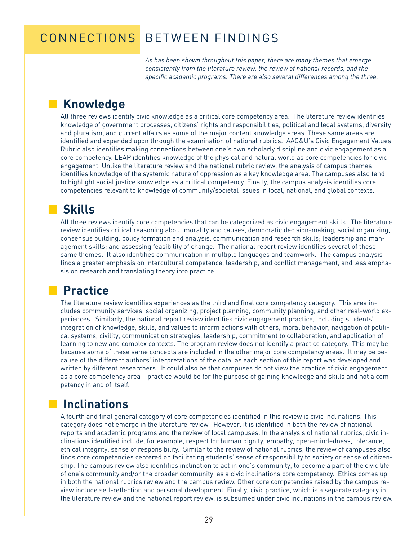### CONNECTIONS BETWEEN FINDINGS

*As has been shown throughout this paper, there are many themes that emerge consistently from the literature review, the review of national records, and the specific academic programs. There are also several differences among the three.*

### **■ Knowledge**

All three reviews identify civic knowledge as a critical core competency area. The literature review identifies knowledge of government processes, citizens' rights and responsibilities, political and legal systems, diversity and pluralism, and current affairs as some of the major content knowledge areas. These same areas are identified and expanded upon through the examination of national rubrics. AAC&U's Civic Engagement Values Rubric also identifies making connections between one's own scholarly discipline and civic engagement as a core competency. LEAP identifies knowledge of the physical and natural world as core competencies for civic engagement. Unlike the literature review and the national rubric review, the analysis of campus themes identifies knowledge of the systemic nature of oppression as a key knowledge area. The campuses also tend to highlight social justice knowledge as a critical competency. Finally, the campus analysis identifies core competencies relevant to knowledge of community/societal issues in local, national, and global contexts.

### **■ Skills**

All three reviews identify core competencies that can be categorized as civic engagement skills. The literature review identifies critical reasoning about morality and causes, democratic decision-making, social organizing, consensus building, policy formation and analysis, communication and research skills; leadership and management skills; and assessing feasibility of change. The national report review identifies several of these same themes. It also identifies communication in multiple languages and teamwork. The campus analysis finds a greater emphasis on intercultural competence, leadership, and conflict management, and less emphasis on research and translating theory into practice.

### **■ Practice**

The literature review identifies experiences as the third and final core competency category. This area includes community services, social organizing, project planning, community planning, and other real-world experiences. Similarly, the national report review identifies civic engagement practice, including students' integration of knowledge, skills, and values to inform actions with others, moral behavior, navigation of political systems, civility, communication strategies, leadership, commitment to collaboration, and application of learning to new and complex contexts. The program review does not identify a practice category. This may be because some of these same concepts are included in the other major core competency areas. It may be because of the different authors' interpretations of the data, as each section of this report was developed and written by different researchers. It could also be that campuses do not view the practice of civic engagement as a core competency area – practice would be for the purpose of gaining knowledge and skills and not a competency in and of itself.

### **■ Inclinations**

A fourth and final general category of core competencies identified in this review is civic inclinations. This category does not emerge in the literature review. However, it is identified in both the review of national reports and academic programs and the review of local campuses. In the analysis of national rubrics, civic inclinations identified include, for example, respect for human dignity, empathy, open-mindedness, tolerance, ethical integrity, sense of responsibility. Similar to the review of national rubrics, the review of campuses also finds core competencies centered on facilitating students' sense of responsibility to society or sense of citizenship. The campus review also identifies inclination to act in one's community, to become a part of the civic life of one's community and/or the broader community, as a civic inclinations core competency. Ethics comes up in both the national rubrics review and the campus review. Other core competencies raised by the campus review include self-reflection and personal development. Finally, civic practice, which is a separate category in the literature review and the national report review, is subsumed under civic inclinations in the campus review.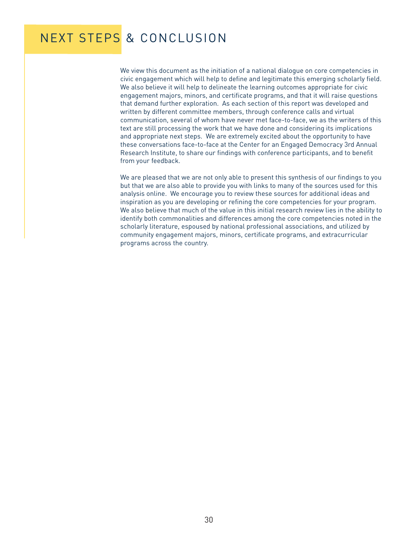# NEXT STEPS & CONCLUSION

We view this document as the initiation of a national dialogue on core competencies in civic engagement which will help to define and legitimate this emerging scholarly field. We also believe it will help to delineate the learning outcomes appropriate for civic engagement majors, minors, and certificate programs, and that it will raise questions that demand further exploration. As each section of this report was developed and written by different committee members, through conference calls and virtual communication, several of whom have never met face-to-face, we as the writers of this text are still processing the work that we have done and considering its implications and appropriate next steps. We are extremely excited about the opportunity to have these conversations face-to-face at the Center for an Engaged Democracy 3rd Annual Research Institute, to share our findings with conference participants, and to benefit from your feedback.

We are pleased that we are not only able to present this synthesis of our findings to you but that we are also able to provide you with links to many of the sources used for this analysis online. We encourage you to review these sources for additional ideas and inspiration as you are developing or refining the core competencies for your program. We also believe that much of the value in this initial research review lies in the ability to identify both commonalities and differences among the core competencies noted in the scholarly literature, espoused by national professional associations, and utilized by community engagement majors, minors, certificate programs, and extracurricular programs across the country.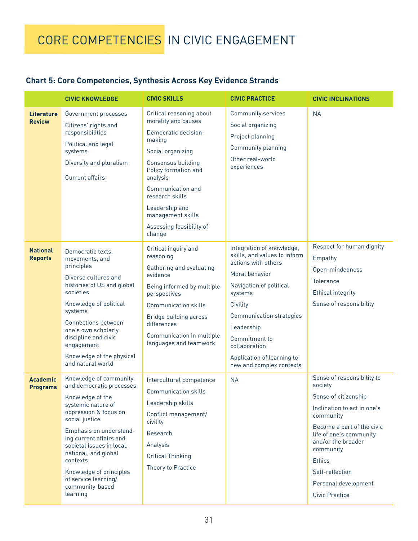# CORE COMPETENCIES IN CIVIC ENGAGEMENT

### **Chart 5: Core Competencies, Synthesis Across Key Evidence Strands**

|                                    | <b>CIVIC KNOWLEDGE</b>                                                                                                                                                                                                                                                                                                                           | <b>CIVIC SKILLS</b>                                                                                                                                                                                                                                                                   | <b>CIVIC PRACTICE</b>                                                                                                                                                                                                                                                                      | <b>CIVIC INCLINATIONS</b>                                                                                                                                                                                                                                                                  |
|------------------------------------|--------------------------------------------------------------------------------------------------------------------------------------------------------------------------------------------------------------------------------------------------------------------------------------------------------------------------------------------------|---------------------------------------------------------------------------------------------------------------------------------------------------------------------------------------------------------------------------------------------------------------------------------------|--------------------------------------------------------------------------------------------------------------------------------------------------------------------------------------------------------------------------------------------------------------------------------------------|--------------------------------------------------------------------------------------------------------------------------------------------------------------------------------------------------------------------------------------------------------------------------------------------|
| <b>Literature</b><br><b>Review</b> | Government processes<br>Citizens' rights and<br>responsibilities<br>Political and legal<br>systems<br>Diversity and pluralism<br><b>Current affairs</b>                                                                                                                                                                                          | Critical reasoning about<br>morality and causes<br>Democratic decision-<br>making<br>Social organizing<br>Consensus building<br>Policy formation and<br>analysis<br>Communication and<br>research skills<br>Leadership and<br>management skills<br>Assessing feasibility of<br>change | <b>Community services</b><br>Social organizing<br>Project planning<br>Community planning<br>Other real-world<br>experiences                                                                                                                                                                | <b>NA</b>                                                                                                                                                                                                                                                                                  |
| <b>National</b><br><b>Reports</b>  | Democratic texts,<br>movements, and<br>principles<br>Diverse cultures and<br>histories of US and global<br>societies<br>Knowledge of political<br>systems<br><b>Connections between</b><br>one's own scholarly<br>discipline and civic<br>engagement<br>Knowledge of the physical<br>and natural world                                           | Critical inquiry and<br>reasoning<br>Gathering and evaluating<br>evidence<br>Being informed by multiple<br>perspectives<br><b>Communication skills</b><br>Bridge building across<br>differences<br>Communication in multiple<br>languages and teamwork                                | Integration of knowledge,<br>skills, and values to inform<br>actions with others<br>Moral behavior<br>Navigation of political<br>systems<br>Civility<br>Communication strategies<br>Leadership<br>Commitment to<br>collaboration<br>Application of learning to<br>new and complex contexts | Respect for human dignity<br>Empathy<br>Open-mindedness<br><b>Tolerance</b><br><b>Ethical integrity</b><br>Sense of responsibility                                                                                                                                                         |
| <b>Academic</b><br><b>Programs</b> | Knowledge of community<br>and democratic processes<br>Knowledge of the<br>systemic nature of<br>oppression & focus on<br>social justice<br>Emphasis on understand-<br>ing current affairs and<br>societal issues in local,<br>national, and global<br>contexts<br>Knowledge of principles<br>of service learning/<br>community-based<br>learning | Intercultural competence<br><b>Communication skills</b><br>Leadership skills<br>Conflict management/<br>civility<br>Research<br>Analysis<br><b>Critical Thinking</b><br>Theory to Practice                                                                                            | <b>NA</b>                                                                                                                                                                                                                                                                                  | Sense of responsibility to<br>society<br>Sense of citizenship<br>Inclination to act in one's<br>community<br>Become a part of the civic<br>life of one's community<br>and/or the broader<br>community<br><b>Ethics</b><br>Self-reflection<br>Personal development<br><b>Civic Practice</b> |